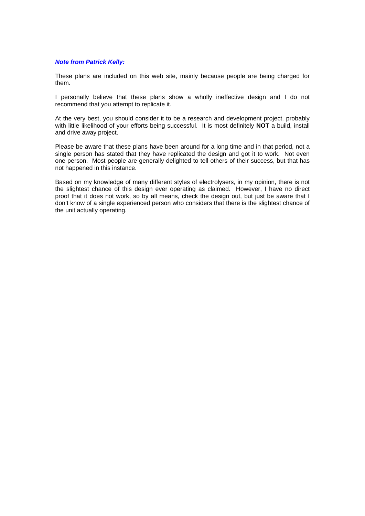#### *Note from Patrick Kelly:*

These plans are included on this web site, mainly because people are being charged for them.

I personally believe that these plans show a wholly ineffective design and I do not recommend that you attempt to replicate it.

At the very best, you should consider it to be a research and development project. probably with little likelihood of your efforts being successful. It is most definitely **NOT** a build, install and drive away project.

Please be aware that these plans have been around for a long time and in that period, not a single person has stated that they have replicated the design and got it to work. Not even one person. Most people are generally delighted to tell others of their success, but that has not happened in this instance.

Based on my knowledge of many different styles of electrolysers, in my opinion, there is not the slightest chance of this design ever operating as claimed. However, I have no direct proof that it does not work, so by all means, check the design out, but just be aware that I don't know of a single experienced person who considers that there is the slightest chance of the unit actually operating.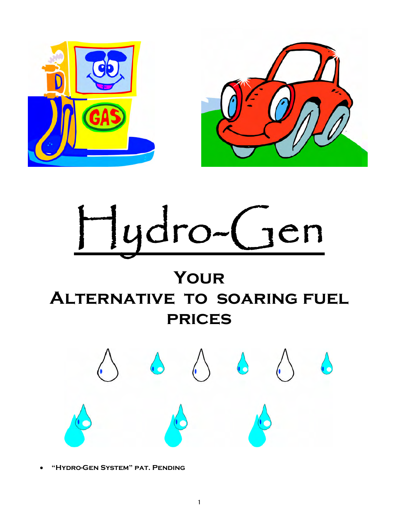

# Hydro-Gen

# **Your Alternative to soaring fuel prices**



**"Hydro-GenSystem"pat.Pending**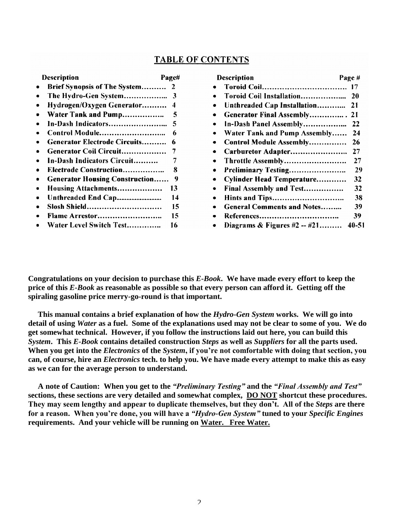## **TABLE OF CONTENTS**

| Description                           | Page# |
|---------------------------------------|-------|
| <b>Brief Synopsis of The System</b>   | 2     |
| The Hydro-Gen System                  | 3     |
| Hydrogen/Oxygen Generator             | 4     |
| Water Tank and Pump                   | 5     |
| In-Dash Indicators                    | 5     |
| Control Module                        | 6     |
| Generator Electrode Circuits          | 6     |
| Generator Coil Circuit                | 7     |
| In-Dash Indicators Circuit            | 7     |
| Electrode Construction                | 8     |
| <b>Generator Housing Construction</b> | 9     |
| Housing Attachments                   | 13    |
| Unthreaded End Cap                    | 14    |
| Slosh Shield                          | 15    |
| Flame Arrestor                        | 15    |
| Water Level Switch Test               | 16    |

|           | <b>Description</b>                  | Page# |
|-----------|-------------------------------------|-------|
|           |                                     | 17    |
|           | Toroid Coil Installation            | 20    |
|           | Unthreaded Cap Installation         | 21    |
|           | Generator Final Assembly            | 21    |
|           | In-Dash Panel Assembly              | 22    |
|           | <b>Water Tank and Pump Assembly</b> | 24    |
|           | <b>Control Module Assembly</b>      | 26    |
|           | Carburetor Adapter                  | 27    |
|           | Throttle Assembly                   | 27    |
| $\bullet$ | Preliminary Testing                 | 29    |
|           | Cylinder Head Temperature           | 32    |
|           | Final Assembly and Test             | 32    |
| $\bullet$ |                                     | 38    |
|           | <b>General Comments and Notes</b>   | 39    |
|           | References                          | 39    |
|           | Diagrams $\&$ Figures #2 -- #21     | 40-51 |

**Congratulations on your decision to purchase this** *E-Book***. We have made every effort to keep the price of this** *E-Book* **as reasonable as possible so that every person can afford it. Getting off the spiraling gasoline price merry-go-round is that important.**

**This manual contains a brief explanation of how the** *Hydro-Gen System* **works. We will go into detail of using** *Water* **as a fuel. Some of the explanations used may not be clear to some of you. We do get somewhat technical. However, if you follow the instructions laid out here, you can build this** *System***. This** *E-Book* **contains detailed construction** *Steps* **as well as** *Suppliers* **for all the parts used.** When you get into the *Electronics* of the *System*, if you're not comfortable with doing that section, you **can, of course, hire an** *Electronics* **tech. to help you. We have made every attempt to make this as easy as we can for the average person to understand.**

**A note of Caution: When you get to the** *"PreliminaryTesting"***and the** *"FinalAssemblyandTest"* **sections, these sections are very detailed and somewhat complex, DO NOT shortcut these procedures.** They may seem lengthy and appear to duplicate themselves, but they don't. All of the *Steps* are there **forareason.Whenyou'redone,youwillhavea***"Hydro-GenSystem"***tuned to your** *Specific Engines* **requirements. And your vehicle will be running on Water. Free Water.**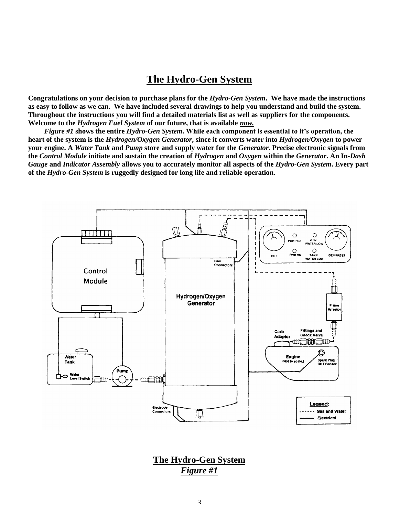## **The Hydro-Gen System**

**Congratulations on your decision to purchase plans for the** *Hydro-Gen System***. We have made the instructions as easy to follow as we can. We have included several drawings to help you understand and build the system. Throughout the instructions you will find a detailed materials list as well as suppliers for the components. Welcome to the** *Hydrogen Fuel System* **of our future, that is available** *now.*

*Figure #1* shows the entire *Hydro-Gen System*. While each component is essential to it's operation, the **heart of the system is the** *Hydrogen/Oxygen Generator***, since it converts water into** *Hydrogen/Oxygen* **to power your engine. A** *Water Tank* **and** *Pump* **store and supply water for the** *Generator***. Precise electronic signals from the** *Control Module* **initiate and sustain the creation of** *Hydrogen* **and** *Oxygen* **within the** *Generator***. An In***-Dash Gauge* **and** *Indicator Assembly* **allows you to accurately monitor all aspects of the** *Hydro-Gen System***. Every part of the** *Hydro-Gen System* **is ruggedly designed for long life and reliable operation.**



**The Hydro-Gen System** *Figure #1*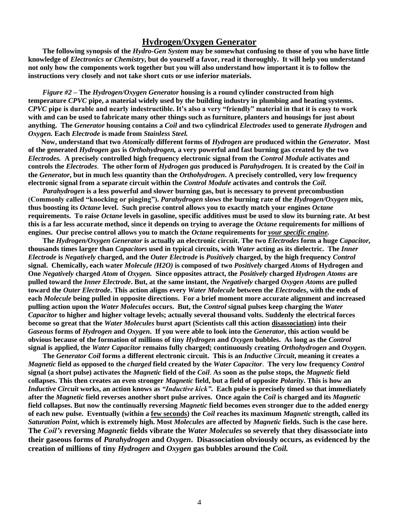#### **Hydrogen/Oxygen Generator**

**The following synopsis of the** *Hydro-Gen System* **may be somewhat confusing to those of you who have little knowledge of** *Electronics* **or** *Chemistry***, but do yourself a favor, read it thoroughly. It will help you understand not only how the components work together but you will also understand how important it is to follow the instructions very closely and not take short cuts or use inferior materials.**

*Figure #2* **–The** *Hydrogen/Oxygen Generator* **housing is a round cylinder constructed from high temperature** *CPVC* **pipe, a material widely used by the building industry in plumbing and heating systems.** *CPVC* pipe is durable and nearly indestructible. It's also a very "friendly" material in that it is easy to work **with and can be used to fabricate many other things such as furniture, planters and housings for just about anything. The** *Generator* **housing contains a** *Coil* **and two cylindrical** *Electrodes* **used to generate** *Hydrogen* **and** *Oxygen.* **Each** *Electrode* **is made from** *Stainless Steel.*

**Now, understand that two** *Atomically* **different forms of** *Hydrogen* **are produced within the** *Generator***. Most of the generated** *Hydrogen gas* **is** *Orthohydrogen,* **a very powerful and fast burning gas created by the two** *Electrodes.* **A precisely controlled high frequency electronic signal from the** *Control Module* **activates and controls the** *Electrodes.* **The other form of** *Hydrogen gas* **produced is** *Parahydrogen.* **It is created by the** *Coil* **in the** *Generator***, but in much less quantity than the** *Orthohydrogen***. A precisely controlled, very low frequency electronic signal from a separate circuit within the** *Control Module* **activates and controls the** *Coil.*

*Parahydrogen* **is a less powerful and slower burning gas, but is necessary to prevent precombustion** (Commonly called "knocking or pinging"). *Parahydrogen* slows the burning rate of the *Hydrogen/Oxygen* mix, **thus boosting its** *Octane* **level. Such precise control allows you to exactly match your engines** *Octane* **requirements. To raise** *Octane* **levels in gasoline, specific additives must be used to slow its burning rate. At best this is a far less accurate method, since it depends on trying to average the** *Octane* **requirements for millions of engines. Our precise control allows you to match the** *Octane* **requirements for** *your specific engine.*

**The** *Hydrogen/Oxygen Generator* **is actually an electronic circuit. The two** *Electrodes* **form a huge** *Capacitor,* **thousands times larger than** *Capacitors* **used in typical circuits, with** *Water* **acting as its dielectric. The** *Inner Electrode* **is** *Negatively* **charged, and the** *Outer Electrode* **is** *Positively* **charged, by the high frequency** *Control* **signal. Chemically, each water** *Molecule (H2O)* **is composed of two** *Positively* **charged** *Atoms* **of Hydrogen and One** *Negatively* **charged** *Atom* **of** *Oxygen.* **Since opposites attract, the** *Positively* **charged** *Hydrogen Atoms* **are pulled toward the** *Inner Electrode***. But, at the same instant, the** *Negatively* **charged** *Oxygen Atoms* **are pulled toward the** *Outer Electrode***. This action aligns every** *Water Molecule* **between the** *Electrodes***, with the ends of each** *Molecule* **being pulled in opposite directions. For a brief moment more accurate alignment and increased pulling action upon the** *Water Molecules* **occurs. But, the** *Control* **signal pulses keep charging the** *Water Capacitor* **to higher and higher voltage levels; actually several thousand volts. Suddenly the electrical forces become so great that the** *Water Molecules* **burst apart (Scientists call this action disassociation) into their** *Gaseous* **forms of** *Hydrogen* **and** *Oxygen***. If you were able to look into the** *Generator***, this action would be obvious because of the formation of millions of tiny** *Hydrogen* **and** *Oxygen* **bubbles. As long as the** *Control* **signal is applied, the** *Water Capacitor* **remains fully charged; continuously creating** *Orthohydrogen* **and** *Oxygen.*

**The** *Generator Coil* **forms a different electronic circuit. This is an** *Inductive Circuit***, meaning it creates a** *Magnetic* **field as opposed to the** *charged* **field created by the** *Water Capacitor*. **The very low frequency** *Control* **signal (a short pulse) activates the** *Magnetic* **field of the** *Coil*. **As soon as the pulse stops, the** *Magnetic* **field collapses. This then creates an even stronger** *Magnetic* **field, but a field of opposite** *Polarity***. This is how an** *Inductive Circuit* works, an action knows as "*Inductive kick"*. Each pulse is precisely timed so that immediately **after the** *Magnetic* **field reverses another short pulse arrives. Once again the** *Coil* **is charged and its** *Magnetic* **field collapses. But now the continually reversing** *Magnetic* **field becomes even stronger due to the added energy of each new pulse. Eventually (within a few seconds) the** *Coil* **reaches its maximum** *Magnetic* **strength, called its** *Saturation Point***, which is extremely high. Most** *Molecules* **are affected by** *Magnetic* **fields. Such is the case here. The** *Coil's***reversing** *Magnetic* **fields vibrate the** *Water Molecules* **so severely that they disassociate into their gaseous forms of** *Parahydrogen* **and** *Oxygen***. Disassociation obviously occurs, as evidenced by the creation of millions of tiny** *Hydrogen* **and** *Oxygen* **gas bubbles around the** *Coil.*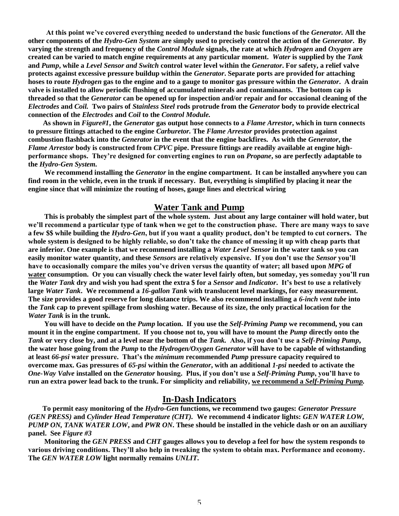At this point we've covered everything needed to understand the basic functions of the *Generator*. All the **other components of the** *Hydro-Gen System* **are simply used to precisely control the action of the** *Generator***. By varying the strength and frequency of the** *Control Module* **signals, the rate at which** *Hydrogen* **and** *Oxygen* **are created can be varied to match engine requirements at any particular moment.** *Water* **is supplied by the** *Tank* **and** *Pump***, while a** *Level Sensor and Switch* **control water level within the** *Generator***. For safety, a relief valve protects against excessive pressure buildup within the** *Generator***. Separate ports are provided for attaching hoses to route** *Hydrogen* **gas to the engine and to a gauge to monitor gas pressure within the** *Generator***. A drain valve is installed to allow periodic flushing of accumulated minerals and contaminants. The bottom cap is threaded so that the** *Generator* **can be opened up for inspection and/or repair and for occasional cleaning of the** *Electrodes* **and** *Coil.* **Two pairs of** *Stainless Steel* **rods protrude from the** *Generator* **body to provide electrical connection of the** *Electrodes* **and** *Coil* **to the** *Control Module.*

**As shown in** *Figure#1***, the** *Generator* **gas output hose connects to a** *Flame Arrestor***, which in turn connects to pressure fittings attached to the engine** *Carburetor.* **The** *Flame Arrestor* **provides protection against combustion flashback into the** *Generator* **in the event that the engine backfires. As with the** *Generator***, the** *Flame Arrestor* **body is constructed from** *CPVC* **pipe. Pressure fittings are readily available at engine highperformanceshops.They'redesignedforconvertingenginestorunon***Propane***, so are perfectly adaptable to the** *Hydro-Gen System.*

**We recommend installing the** *Generator* **in the engine compartment. It can be installed anywhere you can find room in the vehicle, even in the trunk if necessary. But, everything is simplified by placing it near the engine since that will minimize the routing of hoses, gauge lines and electrical wiring**

#### **Water Tank and Pump**

**This is probably the simplest part of the whole system. Just about any large container will hold water, but** we'll recommend a particular type of tank when we get to the construction phase. There are many ways to save **a few \$\$ while building the** *Hydro-Gen***,butifyouwantaqualityproduct,don'tbetemptedtocutcorners.The** whole system is designed to be highly reliable, so don't take the chance of messing it up with cheap parts that **are inferior. One example is that we recommend installing a** *Water Level Sensor* **in the water tank so you can easily monitor water quantity, and these** *Sensors* **are relativelyexpensive.Ifyoudon'tusethe***Sensor* **you'll** have to occasionally compare the miles you've driven versus the quantity of water; all based upon *MPG* of water consumption. Or you can visually check the water level fairly often, but someday, yes someday you'll run **the** *Water Tank* **dry and wish you had spent the extra \$ for a** *Sensor* **and** *Indicator***.It'sbesttousearelatively large** *Water Tank***. We recommend a** *16-gallon Tank* **with translucent level markings, for easy measurement. The size provides a good reserve for long distance trips. We also recommend installing a** *6-inch vent tube* **into the** *Tank* **cap to prevent spillage from sloshing water. Because of its size, the only practical location for the** *Water Tank* **is in the trunk.**

**You will have to decide on the** *Pump* **location. If you use the** *Self-Priming Pump* **we recommend, you can mount it in the engine compartment. If you choose not to, you will have to mount the** *Pump* **directly onto the** *Tank* or very close by, and at a level near the bottom of the *Tank.* Also, if you don't use a *Self-Priming Pump*, **the water hose going from the** *Pump* **to the** *Hydrogen/Oxygen Generator* **will have to be capable of withstanding at least** *66-psi* **waterpressure.That'sthe***minimum* **recommended** *Pump* **pressure capacity required to overcome max. Gas pressures of** *65-psi* **within the** *Generator***, with an additional** *1-psi* **needed to activate the** *One-Way Valve* installed on the *Generator* housing. Plus, if you don't use a *Self-Priming Pump*, you'll have to **run an extra power lead back to the trunk. For simplicity and reliability, we recommend a** *Self-Priming Pump.*

#### **In-Dash Indicators**

**To permit easy monitoring of the** *Hydro-Gen* **functions, we recommend two gauges:** *Generator Pressure (GEN PRESS)* **and** *Cylinder Head Temperature (CHT).* **We recommend 4 indicator lights:** *GEN WATER LOW, PUMP ON, TANK WATER LOW***, and** *PWR ON***. These should be installed in the vehicle dash or on an auxiliary panel. See** *Figure #3*

**Monitoring the** *GEN PRESS* **and** *CHT* **gauges allows you to develop a feel for how the system responds to** various driving conditions. They'll also help in tweaking the system to obtain max. Performance and economy. **The** *GEN WATER LOW* **light normally remains** *UNLIT***.**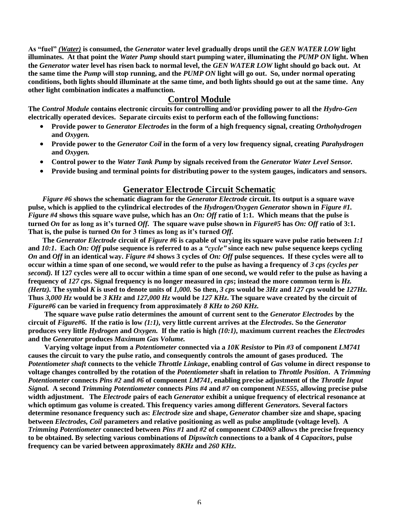**As"fuel"***(Water)* **is consumed, the** *Generator* **water level gradually drops until the** *GEN WATER LOW* **light illuminates. At that point the** *Water Pump* **should start pumping water, illuminating the** *PUMP ON* **light. When the** *Generator* **water level has risen back to normal level, the** *GEN WATER LOW* **light should go back out. At the same time the** *Pump* **will stop running, and the** *PUMP ON* **light will go out. So, under normal operating conditions, both lights should illuminate at the same time, and both lights should go out at the same time. Any other light combination indicates a malfunction.**

#### **Control Module**

**The** *Control Module* **contains electronic circuits for controlling and/or providing power to all the** *Hydro-Gen* **electrically operated devices. Separate circuits exist to perform each of the following functions:**

- **Provide power to** *Generator Electrodes* **in the form of a high frequency signal, creating** *Orthohydrogen* **and** *Oxygen.*
- **Provide power to the** *Generator Coil* **in the form of a very low frequency signal, creating** *Parahydrogen* **and** *Oxygen.*
- **Control power to the** *Water Tank Pump* **by signals received from the** *Generator Water Level Sensor.*
- **Provide busing and terminal points for distributing power to the system gauges, indicators and sensors.**

#### **Generator Electrode Circuit Schematic**

*Figure #6* **shows the schematic diagram for the** *Generator Electrode* **circuit. Its output is a square wave pulse, which is applied to the cylindrical electrodes of the** *Hydrogen/Oxygen Generator* **shown in** *Figure #1. Figure #4* **shows this square wave pulse, which has an** *On: Off* **ratio of 1:1. Which means that the pulse is turned** *On* **for aslongasit'sturned***Off.* **The square wave pulse shown in** *Figure#5* **has** *On: Off* **ratio of 3:1.** That is, the pulse is turned *On* for 3 times as long as it's turned *Off*.

**The** *Generator Electrode* **circuit of** *Figure #6* **is capable of varying its square wave pulse ratio between** *1:1* **and** *10:1***. Each** *On: Off* **pulse sequence is referred to as a** *"cycle"***since each new pulse sequence keeps cycling** *On* **and** *Off* **in an identical way.** *Figure #4* **shows 3 cycles of** *On: Off* **pulse sequences. If these cycles were all to occur within a time span of one second, we would refer to the pulse as having a frequency of** *3 cps (cycles per second).* **If 127 cycles were all to occur within a time span of one second, we would refer to the pulse as having a frequency of** *127 cps***. Signal frequency is no longer measured in** *cps***; instead the more common term is** *Hz. (Hertz).* **The symbol** *K* **is used to denote units of** *1,000.* **So then,** *3 cps* **would be** *3Hz* **and** *127 cps* **would be** *127Hz.* **Thus** *3,000 Hz* **would be** *3 KHz* **and** *127,000 Hz* **would be** *127 KHz***. The square wave created by the circuit of** *Figure#6* **can be varied in frequency from approximately** *8 KHz to 260 KHz.*

**The square wave pulse ratio determines the amount of current sent to the** *Generator Electrodes* **by the circuit of** *Figure#6***. If the ratio is low** *(1:1),* **very little current arrives at the** *Electrodes***. So the** *Generator* **produces very little** *Hydrogen* **and** *Oxygen.* **If the ratio is high** *(10:1),* **maximum current reaches the** *Electrodes* **and the** *Generator* **produces** *Maximum Gas Volume.*

**Varying voltage input from a** *Potentiometer* **connected via a** *10K Resistor* **to Pin** *#3* **of component** *LM741* **causes the circuit to vary the pulse ratio, and consequently controls the amount of gases produced. The** *Potentiometer shaft* **connects to the vehicle** *Throttle Linkage***, enabling control of** *Gas* **volume in direct response to voltage changes controlled by the rotation of the** *Potentiometer* **shaft in relation to** *Throttle Position***. A** *Trimming Potentiometer* **connects** *Pins #2* **and** *#6* **of component** *LM741***, enabling precise adjustment of the** *Throttle Input Signal.* **A second** *Trimming Potentiometer* **connects** *Pins #4* **and** *#7* **on component** *NE555***, allowing precise pulse width adjustment. The** *Electrode* **pairs of each** *Generator* **exhibit a unique frequency of electrical resonance at which optimum gas volume is created. This frequency varies among different** *Generators.* **Several factors determine resonance frequency such as:** *Electrode* **size and shape,** *Generator* **chamber size and shape, spacing between** *Electrodes, Coil* **parameters and relative positioning as well as pulse amplitude (voltage level). A** *Trimming Potentiometer* **connected between** *Pins #1* **and** *#2* **of component** *CD4069* **allows the precise frequency to be obtained. By selecting various combinations of** *Dipswitch* **connections to a bank of 4** *Capacitors***, pulse frequency can be varied between approximately** *8KHz* **and** *260 KHz***.**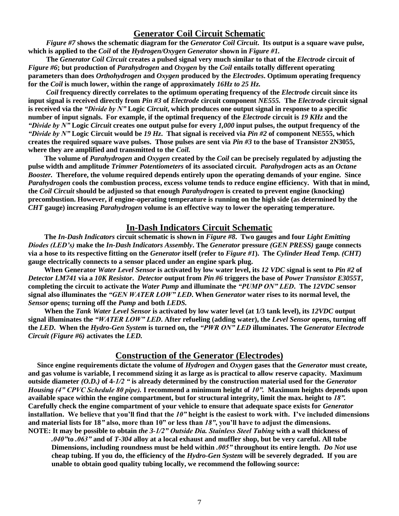#### **Generator Coil Circuit Schematic**

*Figure #7* **shows the schematic diagram for the** *Generator Coil Circuit***. Its output is a square wave pulse, which is applied to the** *Coil* **of the** *Hydrogen/Oxygen Generator* **shown in** *Figure #1.*

**The** *Generator Coil Circuit* **creates a pulsed signal very much similar to that of the** *Electrode* **circuit of** *Figure #6***; but production of** *Parahydrogen* **and** *Oxygen* **by the** *Coil* **entails totally different operating parameters than does** *Orthohydrogen* **and** *Oxygen* **produced by the** *Electrodes***. Optimum operating frequency for the** *Coil* **is much lower, within the range of approximately** *16Hz to 25 Hz.*

*Coil* **frequency directly correlates to the optimum operating frequency of the** *Electrode* **circuit since its input signal is received directly from** *Pin #3* **of** *Electrode* **circuit component** *NE555.* **The** *Electrode* **circuit signal is received via the** *"Divide by N"* **Logic** *Circuit***, which produces one output signal in response to a specific number of input signals. For example, if the optimal frequency of the** *Electrode* **circuit is** *19 KHz* **and the** *"DividebyN"***Logic** *Circuit* **creates one output pulse for every** *1,000* **input pulses, the output frequency of the** *"DividebyN"***Logic Circuit would be** *19 Hz***. That signal is received via** *Pin #2* **of component NE555, which creates the required square wave pulses. Those pulses are sent via** *Pin #3* **to the base of Transistor 2N3055, where they are amplified and transmitted to the** *Coil.*

**The volume of** *Parahydrogen* **and** *Oxygen* **created by the** *Coil* **can be precisely regulated by adjusting the pulse width and amplitude** *Trimmer Potentiometers* **of its associated circuit.** *Parahydrogen* **acts as an** *Octane Booster.* **Therefore, the volume required depends entirely upon the operating demands of your engine. Since** *Parahydrogen* **cools the combustion process, excess volume tends to reduce engine efficiency. With that in mind, the** *Coil Circuit* **should be adjusted so that enough** *Parahydrogen* **is created to prevent engine (knocking) precombustion. However, if engine-operating temperature is running on the high side (as determined by the** *CHT* **gauge) increasing** *Parahydrogen* **volume is an effective way to lower the operating temperature.**

#### **In-Dash Indicators Circuit Schematic**

**The** *In-Dash Indicators* **circuit schematic is shown in** *Figure #8***. Two gauges and four** *Light Emitting Diodes(LED's)***make the** *In-Dash Indicators Assembly***. The** *Generator* **pressure** *(GEN PRESS)* **gauge connects via a hose to its respective fitting on the** *Generator* **itself (refer to** *Figure #1***). The** *Cylinder Head Temp. (CHT)* **gauge electrically connects to a sensor placed under an engine spark plug.**

**When Generator** *Water Level Sensor* **is activated by low water level, its** *12 VDC* **signal is sent to** *Pin #2* **of** *Detector LM741* **via a** *10K Resistor***.** *Detector* **output from** *Pin #6* **triggers the base of** *Power Transistor E3055T***, completing the circuit to activate the** *Water Pump* **and illuminate the** *"PUMPON"LED***. The** *12VDC* **sensor signal also illuminates the** *"GENWATERLOW"LED***. When** *Generator* **water rises to its normal level, the** *Sensor* **opens; turning off the** *Pump* **and both** *LEDS.*

**When the** *Tank Water Level Sensor* **is activated by low water level (at 1/3 tank level), its** *12VDC* **output signal illuminates the** *"WATERLOW"LED***. After refueling (adding water), the** *Level Sensor* **opens, turning off the** *LED***. When the** *Hydro-Gen System* **is turned on, the** *"PWRON"LED***illuminates. The** *Generator Electrode Circuit (Figure #6)* **activates the** *LED.*

#### **Construction of the Generator (Electrodes)**

**Since engine requirements dictate the volume of** *Hydrogen* **and** *Oxygen* **gases that the** *Generator* **must create, and gas volume is variable, I recommend sizing it as large as is practical to allow reserve capacity. Maximum outside diameter** *(O.D.)* **of 4***-1/2"***is already determined by the construction material used for the** *Generator Housing* (4" CPVC Schedule 80 pipe). I recommend a minimum height of 10". Maximum heights depends upon **available space within the engine compartment, but for structural integrity, limit the max. height to** *18".* **Carefully check the engine compartment of your vehicle to ensure that adequate space exists for** *Generator* installation. We believe that you'll find that the  $10$ " height is the easiest to work with. I've included dimensions and material lists for 18" also, more than 10" or less than  $18"$ , you'll have to adjust the dimensions. **NOTE:** It may be possible to obtain *the 3-1/2" Outside Dia. Stainless Steel Tubing* with a wall thickness of

*.040"***to** *.063"***and of** *T-304* **alloy at a local exhaust and muffler shop, but be very careful. All tube Dimensions, including roundness must be held within** *.005"***throughout its entire length.** *Do Not* **use cheap tubing. If you do, the efficiency of the** *Hydro-Gen System* **will be severely degraded. If you are unable to obtain good quality tubing locally, we recommend the following source:**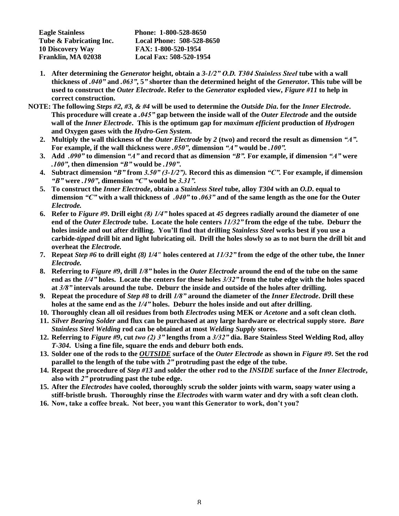| Phone: 1-800-528-8650            |
|----------------------------------|
| <b>Local Phone: 508-528-8650</b> |
| FAX: 1-800-520-1954              |
| Local Fax: 508-520-1954          |
|                                  |

- **1.** After determining the *Generator* height, obtain a 3-1/2" O.D. T304 Stainless Steel tube with a wall **thickness of** *.040"***and** *.063"***, 5***"***shorter than the determined height of the** *Generator***. This tube will be used to construct the** *Outer Electrode***. Refer to the** *Generator* **exploded view,** *Figure #11* **to help in correct construction.**
- **NOTE: The following** *Steps #2, #3, & #4* **will be used to determine the** *Outside Dia***. for the** *Inner Electrode***. This procedure will create a** *.045"***gap between the inside wall of the** *Outer Electrode* **and the outside wall of the** *Inner Electrode***. This is the optimum gap for** *maximum efficient* **production of** *Hydrogen* **and Oxygen gases with the** *Hydro-Gen System.*
	- **2. Multiply the wall thickness of the** *Outer Electrode* **by** *2* **(two) and record the result as dimension** *"A"***. For example, if the wall thickness were** *.050"***, dimension** *"A"***would be** *.100".*
	- **3. Add** *.090"***to dimension** *"A"***and record that as dimension** *"B".***For example, if dimension** *"A"***were** *.100"***, then dimension** *"B"***would be** *.190"***.**
	- **4. Subtract dimension** *"B"***from** *3.50"(3-1/2").***Record this as dimension** *"C".***For example, if dimension** *"B"***were** *.190"***, dimension** *"C"***would be** *3.31".*
	- **5. To construct the** *Inner Electrode***, obtain a** *Stainless Steel* **tube, alloy** *T304* **with an** *O.D***. equal to dimension** *"C"***with a wall thickness of** *.040"***to** *.063"***and of the same length as the one for the Outer** *Electrode.*
	- **6. Refer to** *Figure #9***. Drill eight** *(8)1/4"***holes spaced at** *45* **degrees radially around the diameter of one end of the** *Outer Electrode* **tube. Locate the hole centers** *11/32"***from the edge of the tube. Deburr the holes inside and out after drilling. You'llfindthatdrilling***Stainless Steel* **works best if you use a carbide-***tipped* **drill bit and light lubricating oil. Drill the holes slowly so as to not burn the drill bit and overheat the** *Electrode.*
	- **7. Repeat** *Step #6* **to drill eight** *(8) 1/4"* **holes centered at** *11/32"***from the edge of the other tube, the Inner** *Electrode.*
	- **8. Referring to** *Figure #9***, drill** *1/8"***holes in the** *Outer Electrode* **around the end of the tube on the same end as the** *1/4"***holes. Locate the centers for these holes** *3/32"***from the tube edge with the holes spaced at** *3/8"***intervals around the tube. Deburr the inside and outside of the holes after drilling.**
	- **9. Repeat the procedure of** *Step #8* **to drill** *1/8"***around the diameter of the** *Inner Electrode***. Drill these holes at the same end as the** *1/4"***holes. Deburr the holes inside and out after drilling.**
	- **10. Thoroughly clean all oil residues from both** *Electrodes* **using MEK or** *Acetone* **and a soft clean cloth.**
	- **11.** *Silver Bearing Solder* **and flux can be purchased at any large hardware or electrical supply store.** *Bare Stainless Steel Welding* **rod can be obtained at most** *Welding Supply* **stores.**
	- **12. Referring to** *Figure #9***, cut** *two(2)3"***lengths from a** *3/32"***dia. Bare Stainless Steel Welding Rod, alloy** *T-304***. Using a fine file, square the ends and deburr both ends.**
	- **13. Solder one of the rods to the** *OUTSIDE* **surface of the** *Outer Electrode* **as shown in** *Figure #9***. Set the rod parallel to the length of the tube with** *2"***protruding past the edge of the tube.**
	- **14. Repeat the procedure of** *Step #13* **and solder the other rod to the** *INSIDE* **surface of the** *Inner Electrode***, also with** *2"***protruding past the tube edge.**
	- **15. After the** *Electrodes* **have cooled, thoroughly scrub the solder joints with warm, soapy water using a stiff-bristle brush. Thoroughly rinse the** *Electrodes* **with warm water and dry with a soft clean cloth.**
	- **16. Now,takeacoffeebreak.Notbeer,youwantthisGeneratortowork,don'tyou?**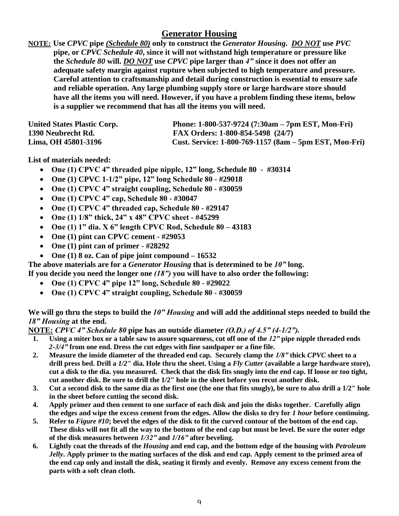## **Generator Housing**

**NOTE: Use** *CPVC* **pipe** *(Schedule 80)* **only to construct the** *Generator Housing***.** *DO NOT* **use** *PVC* **pipe, or** *CPVC Schedule 40***, since it will not withstand high temperature or pressure like the** *Schedule 80* **will.** *DO NOT* **use** *CPVC* **pipe larger than** *4"***since it does not offer an adequate safety margin against rupture when subjected to high temperature and pressure. Careful attention to craftsmanship and detail during construction is essential to ensure safe and reliable operation. Any large plumbing supply store or large hardware store should have all the items you will need. However, if you have a problem finding these items, below is a supplier we recommend that has all the items you will need.**

| <b>United States Plastic Corp.</b> | Phone: $1-800-537-9724$ (7:30am – 7pm EST, Mon-Fri)    |
|------------------------------------|--------------------------------------------------------|
| 1390 Neubrecht Rd.                 | FAX Orders: 1-800-854-5498 (24/7)                      |
| Lima, OH 45801-3196                | Cust. Service: 1-800-769-1157 (8am – 5pm EST, Mon-Fri) |

**List of materials needed:**

- **One(1)CPVC4"threadedpipenipple,12"long, Schedule 80 - #30314**
- **One (1) CPVC 1-1/2"pipe,12"longSchedule80- #29018**
- One (1) CPVC 4" straight coupling, Schedule 80 #30059
- **One(1)CPVC4"cap,Schedule80- #30047**
- **One(1)CPVC4"threadedcap,Schedule80- #29147**
- **One(1)1/8"thick,24"x48"CPVCsheet- #45299**
- **One(1)1"dia.X6"lengthCPVCRod,Schedule80–43183**
- **One (1) pint can CPVC cement - #29053**
- **One (1) pint can of primer - #28292**
- **One (1) 8 oz. Can of pipe joint compound –16532**

**The above materials are for a** *Generator Housing* **that is determined to be** *10"***long.**

**If you decide you need the longer one** *(18")***you will have to also order the following:**

- **One(1)CPVC4"pipe12"long,Schedule80- #29022**
- One (1) CPVC 4" straight coupling, Schedule 80 #30059

#### We will go thru the steps to build the *10" Housing* and will add the additional steps needed to build the *18"Housing***at the end.**

**NOTE:** *CPVC4"Schedule80***pipe has an outside diameter** *(O.D.)of4.5"(4-1/2").*

- **1. Using a miter box or a table saw to assure squareness, cut off one of the** *12"***pipe nipple threaded ends** *2-3/4"***from one end. Dress the cut edges with fine sandpaper or a fine file.**
- **2. Measure the inside diameter of the threaded end cap. Securely clamp the** *1/8"***thick** *CPVC* **sheet to a drill press bed. Drill a** *1/2"* **dia. Hole thru the sheet. Using a** *Fly Cutter* **(available a large hardware store), cut a disk to the dia. you measured. Check that the disk fits snugly into the end cap. If loose or too tight, cut another disk. Be sure to drill the 1/2" hole in the sheet before you recut another disk.**
- **3. Cut a second disk to the same dia as the first one (the one that fits snugly), be sure to also drill a 1/2" hole in the sheet before cutting the second disk.**
- **4. Apply primer and then cement to one surface of each disk and join the disks together. Carefully align the edges and wipe the excess cement from the edges. Allow the disks to dry for** *1 hour* **before continuing.**
- **5. Refer to** *Figure #10***; bevel the edges of the disk to fit the curved contour of the bottom of the end cap. These disks will not fit all the way to the bottom of the end cap but must be level. Be sure the outer edge of the disk measures between** *1/32"***and** *1/16"***after beveling.**
- **6. Lightly coat the threads of the** *Housing* **and end cap, and the bottom edge of the housing with** *Petroleum Jelly***. Apply primer to the mating surfaces of the disk and end cap. Apply cement to the primed area of the end cap only and install the disk, seating it firmly and evenly. Remove any excess cement from the parts with a soft clean cloth.**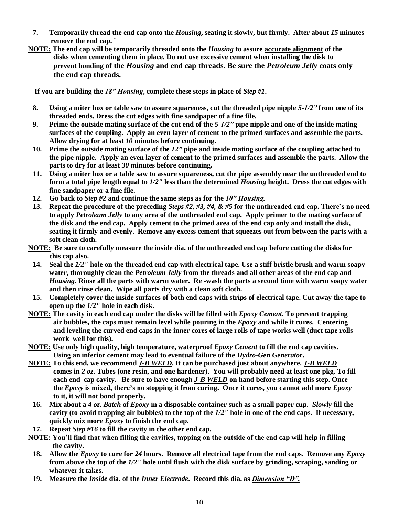- **7. Temporarily thread the end cap onto the** *Housing***, seating it slowly, but firmly. After about** *15* **minutes remove the end cap. `**
- **NOTE: The end cap will be temporarily threaded onto the** *Housing* **to assure accurate alignment of the disks when cementing them in place. Do not use excessive cement when installing the disk to prevent bonding of the** *Housing* **and end cap threads. Be sure the** *Petroleum Jelly* **coats only the end cap threads.**

**If you are building the** *18"Housing***, complete these steps in place of** *Step #1***.**

- **8. Using a miter box or table saw to assure squareness, cut the threaded pipe nipple** *5-1/2"***from one of its threaded ends. Dress the cut edges with fine sandpaper of a fine file.**
- **9. Prime the outside mating surface of the cut end of the** *5-1/2"***pipe nipple and one of the inside mating surfaces of the coupling. Apply an even layer of cement to the primed surfaces and assemble the parts. Allow drying for at least** *10* **minutes before continuing.**
- **10. Prime the outside mating surface of the** *12"***pipe and inside mating surface of the coupling attached to the pipe nipple. Apply an even layer of cement to the primed surfaces and assemble the parts. Allow the parts to dry for at least** *30* **minutes before continuing.**
- **11. Using a miter box or a table saw to assure squareness, cut the pipe assembly near the unthreaded end to form a total pipe length equal to** *1/2"* **less than the determined** *Housing* **height. Dress the cut edges with fine sandpaper or a fine file.**
- **12.** Go back to *Step #2* and continue the same steps as for the  $10"$  Housing.
- **13.** Repeat the procedure of the preceding *Steps #2, #3, #4, & #5* for the unthreaded end cap. There's no need **to apply** *Petroleum Jelly* **to any area of the unthreaded end cap. Apply primer to the mating surface of the disk and the end cap. Apply cement to the primed area of the end cap only and install the disk, seating it firmly and evenly. Remove any excess cement that squeezes out from between the parts with a soft clean cloth.**
- **NOTE: Be sure to carefully measure the inside dia. of the unthreaded end cap before cutting the disks for this cap also.**
	- **14. Seal the** *1/2"* **hole on the threaded end cap with electrical tape. Use a stiff bristle brush and warm soapy water, thoroughly clean the** *Petroleum Jelly* **from the threads and all other areas of the end cap and** *Housing***. Rinse all the parts with warm water. Re -wash the parts a second time with warm soapy water and then rinse clean. Wipe all parts dry with a clean soft cloth.**
	- **15. Completely cover the inside surfaces of both end caps with strips of electrical tape. Cut away the tape to open up the** *1/2"* **hole in each disk.**
- **NOTE: The cavity in each end cap under the disks will be filled with** *Epoxy Cement***. To prevent trapping air bubbles, the caps must remain level while pouring in the** *Epoxy* **and while it cures. Centering and leveling the curved end caps in the inner cores of large rolls of tape works well (duct tape rolls work well for this).**
- **NOTE: Use only high quality, high temperature, waterproof** *Epoxy Cement* **to fill the end cap cavities. Using an inferior cement may lead to eventual failure of the** *Hydro-Gen Generator***.**
- **NOTE: To this end, we recommend** *J-B WELD***. It can be purchased just about anywhere.** *J-B WELD* **comes in** *2 oz***. Tubes (one resin, and one hardener). You will probably need at least one pkg. To fill each end cap cavity. Be sure to have enough** *J-B WELD* **on hand before starting this step. Once the** *Epoxy* is mixed, there's no stopping it from curing. Once it cures, you cannot add more *Epoxy* **to it, it will not bond properly.**
- **16. Mix about a** *4 oz. Batch* **of** *Epoxy* **in a disposable container such as a small paper cup.** *Slowly* **fill the cavity (to avoid trapping air bubbles) to the top of the** *1/2"* **hole in one of the end caps. If necessary, quickly mix more** *Epoxy* **to finish the end cap.**
- **17. Repeat** *Step #16* **to fill the cavity in the other end cap.**
- **NOTE:** You'll find that when filling the cavities, tapping on the outside of the end cap will help in filling **the cavity.**
	- **18. Allow the** *Epoxy* **to cure for** *24* **hours. Remove all electrical tape from the end caps. Remove any** *Epoxy* **from above the top of the** *1/2"* **hole until flush with the disk surface by grinding, scraping, sanding or whatever it takes.**
	- **19. Measure the** *Inside* **dia. of the** *Inner Electrode***. Record this dia. as** *Dimension"D".*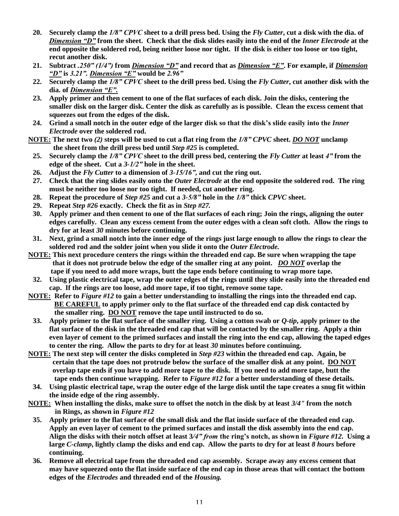- **20. Securely clamp the** *1/8"CPVC***sheet to a drill press bed. Using the** *Fly Cutter***, cut a disk with the dia. of** *Dimension"D"***from the sheet. Check that the disk slides easily into the end of the** *Inner Electrode* **at the end opposite the soldered rod, being neither loose nor tight. If the disk is either too loose or too tight, recut another disk.**
- **21. Subtract** *.250"(1/4")***from** *Dimension"D"***and record that as** *Dimension"E"***. For example, if** *Dimension "D"***is** *3.21".Dimension"E"***would be** *2.96"*
- **22. Securely clamp the** *1/8"CPVC***sheet to the drill press bed. Using the** *Fly Cutter***, cut another disk with the dia. of** *Dimension"E".*
- **23. Apply primer and then cement to one of the flat surfaces of each disk. Join the disks, centering the smaller disk on the larger disk. Center the disk as carefully as is possible. Clean the excess cement that squeezes out from the edges of the disk.**
- **24. Grind a small notch in the outer edge of the larger disk so that the disk's slide easily into the** *Inner Electrode* **over the soldered rod.**
- **NOTE: The next two** *(2)* **steps will be used to cut a flat ring from the** *1/8"CPVC* **sheet.** *DO NOT* **unclamp the sheet from the drill press bed until** *Step #25* **is completed.**
	- **25. Securely clamp the** *1/8"CPVC***sheet to the drill press bed, centering the** *Fly Cutter* **at least** *4"***from the edge of the sheet. Cut a** *3-1/2"***hole in the sheet.**
	- **26. Adjust the** *Fly Cutter* **to a dimension of** *3-15/16",***and cut the ring out.**
- **27. Check that the ring slides easily onto the** *Outer Electrode* **at the end opposite the soldered rod. The ring must be neither too loose nor too tight. If needed, cut another ring.**
- **28. Repeat the procedure of** *Step #25* **and cut a** *3-5/8"***hole in the** *1/8"***thick** *CPVC* **sheet.**
- **29. Repeat** *Step #26* **exactly. Check the fit as in** *Step #27.*
- **30. Apply primer and then cement to one of the flat surfaces of each ring; Join the rings, aligning the outer edges carefully. Clean any excess cement from the outer edges with a clean soft cloth. Allow the rings to dry for at least** *30* **minutes before continuing.**
- **31. Next, grind a small notch into the inner edge of the rings just large enough to allow the rings to clear the soldered rod and the solder joint when you slide it onto the** *Outer Electrode.*
- **NOTE: This next procedure centers the rings within the threaded end cap. Be sure when wrapping the tape that it does not protrude below the edge of the smaller ring at any point.** *DO NOT* **overlap the tape if you need to add more wraps, butt the tape ends before continuing to wrap more tape.**
	- **32. Using plastic electrical tape, wrap the outer edges of the rings until they slide easily into the threaded end cap. If the rings are too loose, add more tape, if too tight, remove some tape.**
- **NOTE: Refer to** *Figure #12* **to gain a better understanding to installing the rings into the threaded end cap. BE CAREFUL to apply primer only to the flat surface of the threaded end cap disk contacted by the smaller ring. DO NOT remove the tape until instructed to do so.**
	- **33. Apply primer to the flat surface of the smaller ring. Using a cotton swab or** *Q-tip***, apply primer to the flat surface of the disk in the threaded end cap that will be contacted by the smaller ring. Apply a thin even layer of cement to the primed surfaces and install the ring into the end cap, allowing the taped edges to center the ring. Allow the parts to dry for at least** *30* **minutes before continuing.**
- **NOTE: The next step will center the disks completed in** *Step #23* **within the threaded end cap. Again, be certain that the tape does not protrude below the surface of the smaller disk at any point. DO NOT overlap tape ends if you have to add more tape to the disk. If you need to add more tape, butt the tape ends then continue wrapping. Refer to** *Figure #12* **for a better understanding of these details.**
	- **34. Using plastic electrical tape, wrap the outer edge of the large disk until the tape creates a snug fit within the inside edge of the ring assembly.**
- **NOTE: When installing the disks, make sure to offset the notch in the disk by at least** *3/4"* **from the notch in Rings, as shown in** *Figure #12*
	- **35. Apply primer to the flat surface of the small disk and the flat inside surface of the threaded end cap. Apply an even layer of cement to the primed surfaces and install the disk assembly into the end cap. Align the disks with their notch offset at least 3***/4"from***thering'snotch,asshownin***Figure #12***. Using a large** *C-clamp***, lightly clamp the disks and end cap. Allow the parts to dry for at least** *8 hours* **before continuing.**
	- **36. Remove all electrical tape from the threaded end cap assembly. Scrape away any excess cement that may have squeezed onto the flat inside surface of the end cap in those areas that will contact the bottom edges of the** *Electrodes* **and threaded end of the** *Housing.*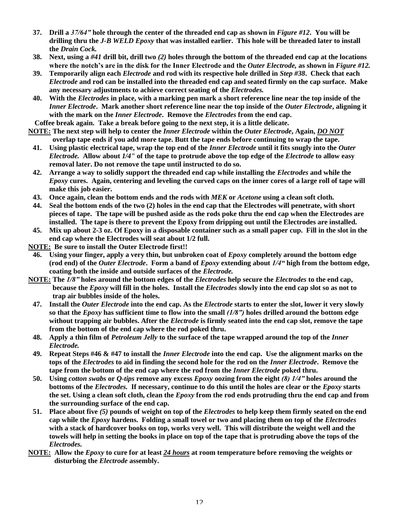- **37. Drill a** *37/64"***hole through the center of the threaded end cap as shown in** *Figure #12***. You will be drilling thru the** *J-B WELD Epoxy* **that was installed earlier. This hole will be threaded later to install the** *Drain Cock.*
- **38. Next, using a** *#41* **drill bit, drill two** *(2)* **holes through the bottom of the threaded end cap at the locations** where the notch's are in the disk for the Inner Electrode and the *Outer Electrode*, as shown in *Figure #12.*
- **39. Temporarily align each** *Electrode* **and rod with its respective hole drilled in** *Step #38***. Check that each** *Electrode* **and rod can be installed into the threaded end cap and seated firmly on the cap surface. Make any necessary adjustments to achieve correct seating of the** *Electrodes.*
- **40. With the** *Electrodes* **in place, with a marking pen mark a short reference line near the top inside of the** *Inner Electrode***. Mark another short reference line near the top inside of the** *Outer Electrode***, aligning it with the mark on the** *Inner Electrode***. Remove the** *Electrodes* **from the end cap.**
- **Coffee break again. Take a break before going to the next step, it is a little delicate.**
- **NOTE: The next step will help to center the** *Inner Electrode* **within the** *Outer Electrode***, Again,** *DO NOT* **overlap tape ends if you add more tape. Butt the tape ends before continuing to wrap the tape.**
	- **41. Using plastic electrical tape, wrap the top end of the** *Inner Electrode* **until it fits snugly into the** *Outer Electrode.* **Allow about** *1/4"* **of the tape to protrude above the top edge of the** *Electrode* **to allow easy removal later. Do not remove the tape until instructed to do so.**
	- **42. Arrange a way to solidly support the threaded end cap while installing the** *Electrodes* **and while the** *Epoxy* **cures. Again, centering and leveling the curved caps on the inner cores of a large roll of tape will make this job easier.**
	- **43. Once again, clean the bottom ends and the rods with** *MEK* **or** *Acetone* **using a clean soft cloth.**
	- **44. Seal the bottom ends of the two (2) holes in the end cap that the Electrodes will penetrate, with short pieces of tape. The tape will be pushed aside as the rods poke thru the end cap when the Electrodes are installed. The tape is there to prevent the Epoxy from dripping out until the Electrodes are installed.**
	- **45. Mix up about 2-3 oz. Of Epoxy in a disposable container such as a small paper cup. Fill in the slot in the end cap where the Electrodes will seat about 1/2 full.**
- **NOTE: Be sure to install the Outer Electrode first!!**
- **46. Using your finger, apply a very thin, but unbroken coat of** *Epoxy* **completely around the bottom edge (rod end) of the** *Outer Electrode***. Form a band of** *Epoxy* **extending about** *1/4"***high from the bottom edge, coating both the inside and outside surfaces of the** *Electrode.*
- **NOTE: The** *1/8"***holes around the bottom edges of the** *Electrodes* **help secure the** *Electrodes* **to the end cap, because the** *Epoxy* **will fill in the holes. Install the** *Electrodes* **slowly into the end cap slot so as not to trap air bubbles inside of the holes.**
	- **47. Install the** *Outer Electrode* **into the end cap. As the** *Electrode* **starts to enter the slot, lower it very slowly so that the** *Epoxy* **has sufficient time to flow into the small** *(1/8")***holes drilled around the bottom edge without trapping air bubbles. After the** *Electrode* **is firmly seated into the end cap slot, remove the tape from the bottom of the end cap where the rod poked thru.**
	- **48. Apply a thin film of** *Petroleum Jelly* **to the surface of the tape wrapped around the top of the** *Inner Electrode.*
	- **49. Repeat Steps #46 & #47 to install the** *Inner Electrode* **into the end cap. Use the alignment marks on the tops of the** *Electrodes* **to aid in finding the second hole for the rod on the** *Inner Electrode***. Remove the tape from the bottom of the end cap where the rod from the** *Inner Electrode* **poked thru.**
	- **50. Using** *cotton swabs* **or** *Q-tips* **remove any excess** *Epoxy* **oozing from the eight** *(8)1/4"***holes around the bottoms of the** *Electrodes.* **If necessary, continue to do this until the holes are clear or the** *Epoxy* **starts the set. Using a clean soft cloth, clean the** *Epoxy* **from the rod ends protruding thru the end cap and from the surrounding surface of the end cap.**
	- **51. Place about five** *(5)* **pounds of weight on top of the** *Electrodes* **to help keep them firmly seated on the end cap while the** *Epoxy* **hardens. Folding a small towel or two and placing them on top of the** *Electrodes* **with a stack of hardcover books on top, works very well. This will distribute the weight well and the towels will help in setting the books in place on top of the tape that is protruding above the tops of the** *Electrodes.*
- **NOTE: Allow the** *Epoxy* **to cure for at least** *24 hours* **at room temperature before removing the weights or disturbing the** *Electrode* **assembly.**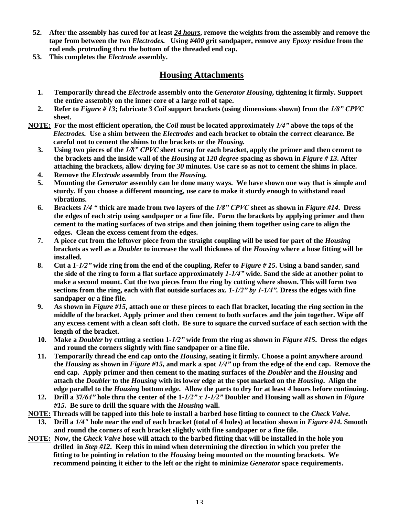- **52. After the assembly has cured for at least** *24 hours***, remove the weights from the assembly and remove the tape from between the two** *Electrodes.* **Using** *#400* **grit sandpaper, remove any** *Epoxy* **residue from the rod ends protruding thru the bottom of the threaded end cap.**
- **53. This completes the** *Electrode* **assembly.**

## **Housing Attachments**

- **1. Temporarily thread the** *Electrode* **assembly onto the** *Generator Housing***, tightening it firmly. Support the entire assembly on the inner core of a large roll of tape.**
- **2. Refer to** *Figure # 13***; fabricate** *3 Coil* **support brackets (using dimensions shown) from the** *1/8"CPVC* **sheet.**
- **NOTE: For the most efficient operation, the** *Coil* **must be located approximately** *1/4"***above the tops of the** *Electrodes.* **Use a shim between the** *Electrodes* **and each bracket to obtain the correct clearance. Be careful not to cement the shims to the brackets or the** *Housing.*
	- **3. Using two pieces of the** *1/8"CPVC***sheet scrap for each bracket, apply the primer and then cement to the brackets and the inside wall of the** *Housing* **at** *120 degree* **spacing as shown in** *Figure # 13***. After attaching the brackets, allow drying for** *30* **minutes. Use care so as not to cement the shims in place.**
	- **4. Remove the** *Electrode* **assembly from the** *Housing.*
	- **5. Mounting the** *Generator* **assembly can be done many ways. We have shown one way that is simple and sturdy. If you choose a different mounting, use care to make it sturdy enough to withstand road vibrations.**
	- **6. Brackets** *1/4"***thick are made from two layers of the** *1/8"CPVC***sheet as shown in** *Figure #14***. Dress the edges of each strip using sandpaper or a fine file. Form the brackets by applying primer and then cement to the mating surfaces of two strips and then joining them together using care to align the edges. Clean the excess cement from the edges.**
	- **7. A piece cut from the leftover piece from the straight coupling will be used for part of the** *Housing* **brackets as well as a** *Doubler* **to increase the wall thickness of the** *Housing* **where a hose fitting will be installed.**
	- **8. Cut a** *1-1/2"***wide ring from the end of the coupling, Refer to** *Figure # 15***. Using a band sander, sand the side of the ring to form a flat surface approximately** *1-1/4"***wide. Sand the side at another point to make a second mount. Cut the two pieces from the ring by cutting where shown. This will form two sections from the ring, each with flat outside surfaces ax.** *1-1/2"by1-1/4".***Dress the edges with fine sandpaper or a fine file.**
	- **9. As shown in** *Figure #15***, attach one or these pieces to each flat bracket, locating the ring section in the middle of the bracket. Apply primer and then cement to both surfaces and the join together. Wipe off any excess cement with a clean soft cloth. Be sure to square the curved surface of each section with the length of the bracket.**
	- **10. Make a** *Doubler* **by cutting a section 1***-1/2"***wide from the ring as shown in** *Figure #15***. Dress the edges and round the corners slightly with fine sandpaper or a fine file.**
	- **11. Temporarily thread the end cap onto the** *Housing***, seating it firmly. Choose a point anywhere around the** *Housing* **as shown in** *Figure #15***, and mark a spot** *1/4"***up from the edge of the end cap. Remove the end cap. Apply primer and then cement to the mating surfaces of the** *Doubler* **and the** *Housing* **and attach the** *Doubler* **to the** *Housing* **with its lower edge at the spot marked on the** *Housing***. Align the edge parallel to the** *Housing* **bottom edge. Allow the parts to dry for at least** *4* **hours before continuing.**
	- **12. Drill a 37***/64"***hole thru the center of the 1***-1/2"x1-1/2"***Doubler and Housing wall as shown in** *Figure #15.* **Be sure to drill the square with the** *Housing* **wall.**
- **NOTE: Threads will be tapped into this hole to install a barbed hose fitting to connect to the** *Check Valve.*
	- **13. Drill a** *1/4"* **hole near the end of each bracket (total of 4 holes) at location shown in** *Figure #14.* **Smooth and round the corners of each bracket slightly with fine sandpaper or a fine file.**
- **NOTE: Now, the** *Check Valve* **hose will attach to the barbed fitting that will be installed in the hole you drilled in** *Step #12***. Keep this in mind when determining the direction in which you prefer the fitting to be pointing in relation to the** *Housing* **being mounted on the mounting brackets. We recommend pointing it either to the left or the right to minimize** *Generator* **space requirements.**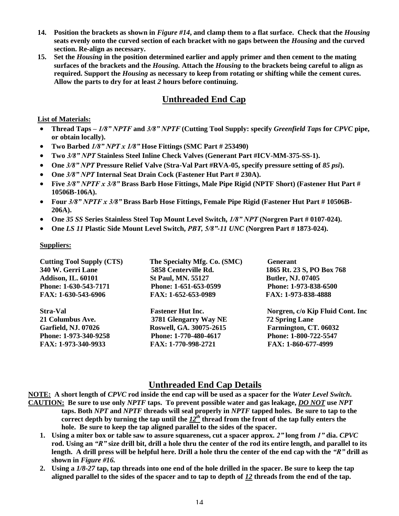- **14. Position the brackets as shown in** *Figure #14***, and clamp them to a flat surface. Check that the** *Housing* **seats evenly onto the curved section of each bracket with no gaps between the** *Housing* **and the curved section. Re-align as necessary.**
- **15. Set the** *Housing* **in the position determined earlier and apply primer and then cement to the mating surfaces of the brackets and the** *Housing.* **Attach the** *Housing* **to the brackets being careful to align as required. Support the** *Housing* **as necessary to keep from rotating or shifting while the cement cures. Allow the parts to dry for at least** *2* **hours before continuing.**

## **Unthreaded End Cap**

#### **List of Materials:**

- **Thread Taps –***1/8"NPTF***and** *3/8"NPTF***(Cutting Tool Supply: specify** *Greenfield Taps* **for** *CPVC* **pipe, or obtain locally).**
- **Two Barbed** *1/8"NPTx1/8"***Hose Fittings (SMC Part # 253490)**
- **Two** *3/8"NPT***Stainless Steel Inline Check Valves (Generant Part #ICV-MM-375-SS-1).**
- **One** *3/8"NPT***Pressure Relief Valve (Stra-Val Part #RVA-05, specify pressure setting of** *85 psi***).**
- **One** *3/8"NPT***Internal Seat Drain Cock (Fastener Hut Part # 230A).**
- **Five** *3/8"NPTFx3/8"***Brass Barb Hose Fittings, Male Pipe Rigid (NPTF Short) (Fastener Hut Part # 10506B-106A).**
- **Four** *3/8"NPTFx3/8"***Brass Barb Hose Fittings, Female Pipe Rigid (Fastener Hut Part # 10506B-206A).**
- **One** *35 SS* **Series Stainless Steel Top Mount Level Switch,** *1/8"NPT***(Norgren Part # 0107-024).**
- **One** *LS 11* **Plastic Side Mount Level Switch,** *PBT,5/8"-11 UNC* **(Norgren Part # 1873-024).**

#### **Suppliers:**

| <b>Cutting Tool Supply (CTS)</b> | The Specialty Mfg. Co. (SMC) | <b>Generant</b>                  |
|----------------------------------|------------------------------|----------------------------------|
| 340 W. Gerri Lane                | 5858 Centerville Rd.         | 1865 Rt. 23 S, PO Box 768        |
| <b>Addison, IL. 60101</b>        | <b>St Paul, MN. 55127</b>    | <b>Butler, NJ. 07405</b>         |
| Phone: 1-630-543-7171            | Phone: 1-651-653-0599        | Phone: 1-973-838-6500            |
| FAX: 1-630-543-6906              | FAX: 1-652-653-0989          | FAX: 1-973-838-4888              |
|                                  |                              |                                  |
| <b>Stra-Val</b>                  | <b>Fastener Hut Inc.</b>     | Norgren, c/o Kip Fluid Cont. Inc |
| 21 Columbus Ave.                 | 3781 Glengarry Way NE        | <b>72 Spring Lane</b>            |
| <b>Garfield, NJ. 07026</b>       | Roswell, GA. 30075-2615      | Farmington, CT. 06032            |
| Phone: 1-973-340-9258            | Phone: 1-770-480-4617        | Phone: 1-800-722-5547            |

#### **Unthreaded End Cap Details**

**NOTE: A short length of** *CPVC* **rod inside the end cap will be used as a spacer for the** *Water Level Switch***. CAUTION: Be sure to use only** *NPTF* **taps. To prevent possible water and gas leakage,** *DO NOT* **use** *NPT* **taps. Both** *NPT* **and** *NPTF* **threads will seal properly in** *NPTF* **tapped holes. Be sure to tap to the** correct depth by turning the tap until the  $12<sup>th</sup>$  thread from the front of the tap fully enters the **hole. Be sure to keep the tap aligned parallel to the sides of the spacer.**

- **1. Using a miter box or table saw to assure squareness, cut a spacer approx.** *2"***long from** *1"***dia.** *CPVC* **rod. Using an** *"R"***size drill bit, drill a hole thru the center of the rod its entire length, and parallel to its length. A drill press will be helpful here. Drill a hole thru the center of the end cap with the** *"R"***drill as shown in** *Figure #16.*
- **2. Using a** *1/8-27* **tap, tap threads into one end of the hole drilled in the spacer. Be sure to keep the tap aligned parallel to the sides of the spacer and to tap to depth of** *12* **threads from the end of the tap.**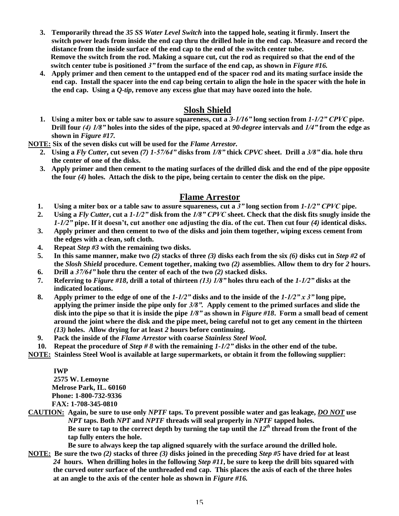- **3. Temporarily thread the** *35 SS Water Level Switch* **into the tapped hole, seating it firmly. Insert the switch power leads from inside the end cap thru the drilled hole in the end cap. Measure and record the distance from the inside surface of the end cap to the end of the switch center tube. Remove the switch from the rod. Making a square cut, cut the rod as required so that the end of the switch center tube is positioned** *3"***from the surface of the end cap, as shown in** *Figure #16.*
- **4. Apply primer and then cement to the untapped end of the spacer rod and its mating surface inside the end cap. Install the spacer into the end cap being certain to align the hole in the spacer with the hole in the end cap. Using a** *Q-tip***, remove any excess glue that may have oozed into the hole.**

## **Slosh Shield**

**1. Using a miter box or table saw to assure squareness, cut a** *3-1/16"***long section from** *1-1/2"CPVC***pipe. Drill four** *(4)1/8"***holes into the sides of the pipe, spaced at** *90-degree* **intervals and** *1/4"***from the edge as shown in** *Figure #17.*

**NOTE: Six of the seven disks cut will be used for the** *Flame Arrestor.*

- **2. Using a** *Fly Cutter***, cut seven** *(7) 1-57/64"***disks from** *1/8"***thick** *CPVC* **sheet. Drill a** *3/8"***dia. hole thru the center of one of the disks.**
- **3. Apply primer and then cement to the mating surfaces of the drilled disk and the end of the pipe opposite the four** *(4)* **holes. Attach the disk to the pipe, being certain to center the disk on the pipe.**

#### **Flame Arrestor**

- **1. Using a miter box or a table saw to assure squareness, cut a** *3"***long section from** *1-1/2"CPVC***pipe.**
- **2. Using a** *Fly Cutter***, cut a** *1-1/2"***disk from the** *1/8"CPVC***sheet. Check that the disk fits snugly inside the** *1-1/2"* pipe. If it doesn't, cut another one adjusting the dia. of the cut. Then cut four (4) identical disks.
- **3. Apply primer and then cement to two of the disks and join them together, wiping excess cement from the edges with a clean, soft cloth.**
- **4. Repeat** *Step #3* **with the remaining two disks.**
- **5. In this same manner, make two** *(2)* **stacks of three** *(3)* **disks each from the six** *(6)* **disks cut in** *Step #2* **of the** *Slosh Shield* **procedure. Cement together, making two** *(2)* **assemblies. Allow them to dry for** *2* **hours.**
- **6. Drill a** *37/64"***hole thru the center of each of the two** *(2)* **stacked disks.**
- **7. Referring to** *Figure #18***, drill a total of thirteen** *(13)1/8"***holes thru each of the** *1-1/2"***disks at the indicated locations.**
- **8. Apply primer to the edge of one of the** *1-1/2"***disks and to the inside of the** *1-1/2"x3"***long pipe, applying the primer inside the pipe only for** *3/8".***Apply cement to the primed surfaces and slide the disk into the pipe so that it is inside the pipe** *1/8"***as shown in** *Figure #18***. Form a small bead of cement around the joint where the disk and the pipe meet, being careful not to get any cement in the thirteen** *(13)* **holes. Allow drying for at least** *2* **hours before continuing.**
- **9. Pack the inside of the** *Flame Arrestor* **with coarse** *Stainless Steel Wool.*
- **10. Repeat the procedure of** *Step # 8* **with the remaining** *1-1/2"***disks in the other end of the tube.**
- **NOTE: Stainless Steel Wool is available at large supermarkets, or obtain it from the following supplier:**

#### **IWP**

**2575 W. Lemoyne Melrose Park, IL. 60160 Phone: 1-800-732-9336 FAX: 1-708-345-0810**

**CAUTION: Again, be sure to use only** *NPTF* **taps. To prevent possible water and gas leakage,** *DO NOT* **use** *NPT* **taps. Both** *NPT* **and** *NPTF* **threads will seal properly in** *NPTF* **tapped holes.** Be sure to tap to the correct depth by turning the tap until the  $I2<sup>th</sup>$  thread from the front of the **tap fully enters the hole.**

**Be sure to always keep the tap aligned squarely with the surface around the drilled hole.**

**NOTE: Be sure the two** *(2)* **stacks of three** *(3)* **disks joined in the preceding** *Step #5* **have dried for at least** *24* **hours. When drilling holes in the following** *Step #11***, be sure to keep the drill bits squared with the curved outer surface of the unthreaded end cap. This places the axis of each of the three holes at an angle to the axis of the center hole as shown in** *Figure #16.*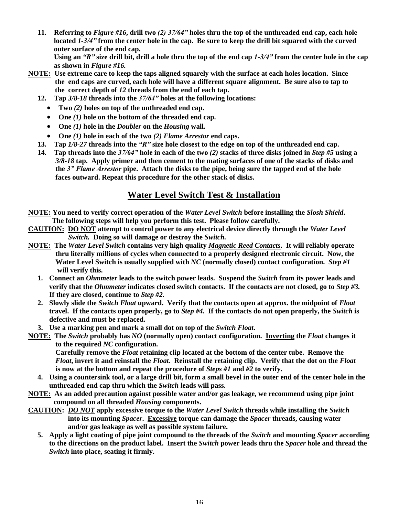**11. Referring to** *Figure #16***, drill two** *(2)37/64"***holes thru the top of the unthreaded end cap, each hole located** *1-3/4"***from the center hole in the cap. Be sure to keep the drill bit squared with the curved outer surface of the end cap. Using an** *"R"***size drill bit, drill a hole thru the top of the end cap** *1-3/4"***from the center hole in the cap**

**as shown in** *Figure #16.*

- **NOTE: Use extreme care to keep the taps aligned squarely with the surface at each holes location. Since the end caps are curved, each hole will have a different square alignment. Be sure also to tap to the correct depth of** *12* **threads from the end of each tap.**
	- **12. Tap** *3/8-18* **threads into the** *37/64"***holes at the following locations:**
		- **Two** *(2)* **holes on top of the unthreaded end cap.**
		- **One** *(1)* **hole on the bottom of the threaded end cap.**
		- **One** *(1)* **hole in the** *Doubler* **on the** *Housing* **wall.**
		- **One** *(1)* **hole in each of the two** *(2) Flame Arrestor* **end caps.**
	- **13. Tap** *1/8-27* **threads into the** *"R"***size hole closest to the edge on top of the unthreaded end cap.**
	- **14. Tap threads into the** *37/64"***hole in each of the two** *(2)* **stacks of three disks joined in** *Step #5* **using a** *3/8-18* **tap. Apply primer and then cement to the mating surfaces of one of the stacks of disks and the** *3"FlameArrestor***pipe. Attach the disks to the pipe, being sure the tapped end of the hole faces outward. Repeat this procedure for the other stack of disks.**

## **Water Level Switch Test & Installation**

- **NOTE: You need to verify correct operation of the** *Water Level Switch* **before installing the** *Slosh Shield***. The following steps will help you perform this test. Please follow carefully.**
- **CAUTION: DO NOT attempt to control power to any electrical device directly through the** *Water Level Switch.* **Doing so will damage or destroy the** *Switch.*
- **NOTE: The** *Water Level Switch* **contains very high quality** *Magnetic Reed Contacts***. It will reliably operate thru literally millions of cycles when connected to a properly designed electronic circuit. Now, the Water Level Switch is usually supplied with** *NC* **(normally closed) contact configuration.** *Step #1* **will verify this.**
	- **1. Connect an** *Ohmmeter* **leads to the switch power leads. Suspend the** *Switch* **from its power leads and verify that the** *Ohmmeter* **indicates closed switch contacts. If the contacts are not closed, go to** *Step #3.* **If they are closed, continue to** *Step #2.*
	- **2. Slowly slide the** *Switch Float* **upward. Verify that the contacts open at approx. the midpoint of** *Float* **travel. If the contacts open properly, go to** *Step #4***. If the contacts do not open properly, the** *Switch* **is defective and must be replaced.**
- **3. Use a marking pen and mark a small dot on top of the** *Switch Float***.**
- **NOTE: The** *Switch* **probably has** *NO* **(normally open) contact configuration. Inverting the** *Float* **changes it to the required** *NC* **configuration.**

**Carefully remove the** *Float* **retaining clip located at the bottom of the center tube. Remove the** *Float***, invert it and reinstall the** *Float***. Reinstall the retaining clip. Verify that the dot on the** *Float* **is now at the bottom and repeat the procedure of** *Steps #1* **and** *#2* **to verify.**

- **4. Using a countersink tool, or a large drill bit, form a small bevel in the outer end of the center hole in the unthreaded end cap thru which the** *Switch* **leads will pass.**
- **NOTE: As an added precaution against possible water and/or gas leakage, we recommend using pipe joint compound on all threaded** *Housing* **components.**
- **CAUTION:** *DO NOT* **apply excessive torque to the** *Water Level Switch* **threads while installing the** *Switch* **into its mounting** *Spacer***. Excessive torque can damage the** *Spacer* **threads, causing water and/or gas leakage as well as possible system failure.**
	- **5. Apply a light coating of pipe joint compound to the threads of the** *Switch* **and mounting** *Spacer* **according to the directions on the product label. Insert the** *Switch* **power leads thru the** *Spacer* **hole and thread the** *Switch* **into place, seating it firmly.**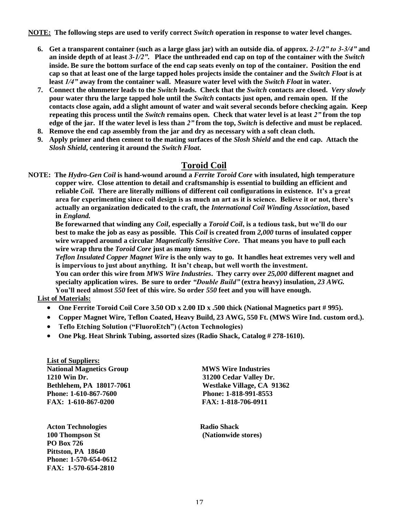**NOTE: The following steps are used to verify correct** *Switch* **operation in response to water level changes.**

- **6. Get a transparent container (such as a large glass jar) with an outside dia. of approx.** *2-1/2"to3-3/4"***and an inside depth of at least** *3-1/2"***. Place the unthreaded end cap on top of the container with the** *Switch* **inside. Be sure the bottom surface of the end cap seats evenly on top of the container. Position the end cap so that at least one of the large tapped holes projects inside the container and the** *Switch Float* **is at least** *1/4"***away from the container wall. Measure water level with the** *Switch Float* **in water.**
- **7. Connect the ohmmeter leads to the** *Switch* **leads. Check that the** *Switch* **contacts are closed.** *Very slowly* **pour water thru the large tapped hole until the** *Switch* **contacts just open, and remain open. If the contacts close again, add a slight amount of water and wait several seconds before checking again. Keep repeating this process until the** *Switch* **remains open. Check that water level is at least** *2"***from the top edge of the jar. If the water level is less than** *2"***from the top,** *Switch* **is defective and must be replaced.**
- **8. Remove the end cap assembly from the jar and dry as necessary with a soft clean cloth.**
- **9. Apply primer and then cement to the mating surfaces of the** *Slosh Shield* **and the end cap. Attach the** *Slosh Shield***, centering it around the** *Switch Float***.**

## **Toroid Coil**

**NOTE: The** *Hydro-Gen Coil* **is hand-wound around a** *Ferrite Toroid Core* **with insulated, high temperature copper wire. Close attention to detail and craftsmanship is essential to building an efficient and reliable** *Coil.* **There are literally millions of different coil configurations in existence. It'sagreat areaforexperimentingsincecoildesignisasmuchanartasitisscience.Believeitornot,there's actually an organization dedicated to the craft, the** *International Coil Winding Association***, based in** *England.*

**Be forewarned that winding any** *Coil***, especially a** *Toroid Coil***,isatedioustask,butwe'lldoour best to make the job as easy as possible. This** *Coil* **is created from** *2,000* **turns of insulated copper wire wrapped around a circular** *Magnetically Sensitive Core***. That means you have to pull each wire wrap thru the** *Toroid Core* **just as many times.**

*Teflon Insulated Copper Magnet Wire* **is the only way to go. It handles heat extremes very well and** is impervious to just about anything. It isn't cheap, but well worth the investment.

**You can order this wire from** *MWS Wire Industries***. They carry over** *25,000* **different magnet and** specialty application wires. Be sure to order *"Double Build"* (extra heavy) insulation, 23 AWG. You'll need almost 550 feet of this wire. So order 550 feet and you will have enough.

#### **List of Materials:**

- **One Ferrite Toroid Coil Core 3.50 OD x 2.00 ID x .500 thick (National Magnetics part # 995).**
- **Copper Magnet Wire, Teflon Coated, Heavy Build, 23 AWG, 550 Ft. (MWS Wire Ind. custom ord.).**
- **•** Teflo Etching Solution ("FluoroEtch") (Acton Technologies)
- **One Pkg. Heat Shrink Tubing, assorted sizes (Radio Shack, Catalog # 278-1610).**

**List of Suppliers: National Magnetics Group MWS Wire Industries 1210 Win Dr. 31200 Cedar Valley Dr. Phone: 1-610-867-7600 Phone: 1-818-991-8553 FAX: 1-610-867-0200 FAX: 1-818-706-0911**

**Acton Technologies Radio Shack 100 Thompson St (Nationwide stores) PO Box 726 Pittston, PA 18640 Phone: 1-570-654-0612 FAX: 1-570-654-2810**

**Bethlehem, PA 18017-7061 Westlake Village, CA 91362**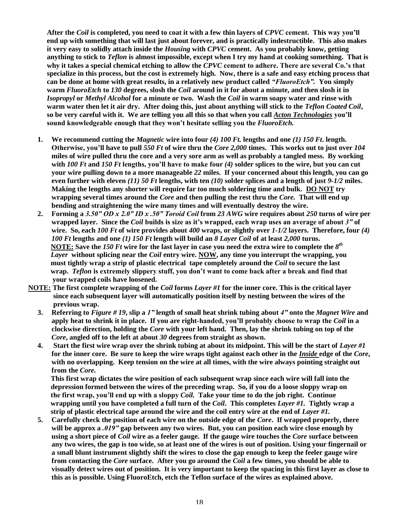**After the** *Coil* **is completed, you need to coat it with a few thin layers of** *CPVC* **cement.Thiswayyou'll end up with something that will last just about forever, and is practically indestructible. This also makes it very easy to solidly attach inside the** *Housing* **with** *CPVC* **cement. As you probably know, getting anything to stick to** *Teflon* **is almost impossible, except when I try my hand at cooking something. That is** why it takes a special chemical etching to allow the *CPVC* cement to adhere. There are several Co.'s that **specialize in this process, but the cost is extremely high. Now, there is a safe and easy etching process that can be done at home with great results, in a relatively new product called** *"FluoroEtch".***You simply warm** *FluoroEtch* **to** *130* **degrees, slosh the** *Coil* **around in it for about a minute, and then slosh it in** *Isopropyl* **or** *Methyl Alcohol* **for a minute or two. Wash the** *Coil* **in warm soapy water and rinse with warm water then let it air dry. After doing this, just about anything will stick to the** *Teflon Coated Coil***, so be very careful with it. We are telling you all this so that when you call** *Acton Technologies* **you'll** sound knowledgeable enough that they won't hesitate selling you the *FluoroEtch*.

- **1. We recommend cutting the** *Magnetic* **wire into four** *(4) 100 Ft.* **lengths and one** *(1) 150 Ft***. length. Otherwise,you'll have to pull** *550 Ft* **of wire thru the** *Core 2,000* **times. This works out to just over** *104* **miles of wire pulled thru the core and a very sore arm as well as probably a tangled mess. By working with** 100 Ft and 150 Ft lengths, you'll have to make four (4) solder splices to the wire, but you can cut **your wire pulling down to a more manageable** *22* **miles. If your concerned about this length, you can go even further with eleven** *(11) 50 Ft* **lengths, with ten** *(10)* **solder splices and a length of just** *9-1/2* **miles. Making the lengths any shorter will require far too much soldering time and bulk. DO NOT try wrapping several times around the** *Core* **and then pulling the rest thru the** *Core.* **That will end up bending and straightening the wire many times and will eventually destroy the wire.**
- **2. Forming a** *3.50"ODx2.0"IDx.50"ToroidCoil***from** *23 AWG* **wire requires about** *250* **turns of wire per wrapped layer. Since the** *Coil* **buildsissizeasit'swrapped,eachwrapusesanaverageofabout***3"***of wire. So, each** *100 Ft* **of wire provides about** *400* **wraps, or slightly over** *1-1/2* **layers. Therefore, four** *(4) 100 Ft* **lengths and one** *(1) 150 Ft* **length will build an** *8 Layer Coil* **of at least** *2,000* **turns. NOTE: Save the** *150 Ft* **wire for the last layer in case you need the extra wire to complete the** *8 th Layer* **without splicing near the** *Coil* **entry wire. NOW, any time you interrupt the wrapping, you must tightly wrap a strip of plastic electrical tape completely around the** *Coil* **to secure the last** wrap. *Teflon* is extremely slippery stuff, you don't want to come back after a break and find that **your wrapped coils have loosened.**
- **NOTE: The first complete wrapping of the** *Coil* **forms** *Layer #1* **for the inner core. This is the critical layer since each subsequent layer will automatically position itself by nesting between the wires of the previous wrap.**
	- **3. Referring to** *Figure # 19***, slip a** *1"***length of small heat shrink tubing about** *4"***onto the** *Magnet Wire* **and apply heat to shrink it in place. If you are right-handed,you'llprobablychoosetowrapthe***Coil* **in a clockwise direction, holding the** *Core* **with your left hand. Then, lay the shrink tubing on top of the** *Core***, angled off to the left at about** *30* **degrees from straight as shown.**
	- **4. Start the first wire wrap over the shrink tubing at about its midpoint. This will be the start of** *Layer #1* **for the inner core. Be sure to keep the wire wraps tight against each other in the** *Inside* **edge of the** *Core***, with no overlapping. Keep tension on the wire at all times, with the wire always pointing straight out from the** *Core.*

**This first wrap dictates the wire position of each subsequent wrap since each wire will fall into the depression formed between the wires of the preceding wrap. So, if you do a loose sloppy wrap on thefirstwrap,you'llendupwithasloppy***Coil.* **Take your time to do the job right. Continue wrapping until you have completed a full turn of the** *Coil***. This completes** *Layer #1.* **Tightly wrap a strip of plastic electrical tape around the wire and the coil entry wire at the end of** *Layer #1.*

**5. Carefully check the position of each wire on the outside edge of the** *Core***. If wrapped properly, there will be approx a** *.019"***gap between any two wires. But, you can position each wire close enough by using a short piece of** *Coil* **wire as a feeler gauge. If the gauge wire touches the** *Core* **surface between any two wires, the gap is too wide, so at least one of the wires is out of position. Using your fingernail or a small blunt instrument slightly shift the wires to close the gap enough to keep the feeler gauge wire from contacting the** *Core* **surface. After you go around the** *Coil* **a few times, you should be able to visually detect wires out of position. It is very important to keep the spacing in this first layer as close to this as is possible. Using FluoroEtch, etch the Teflon surface of the wires as explained above.**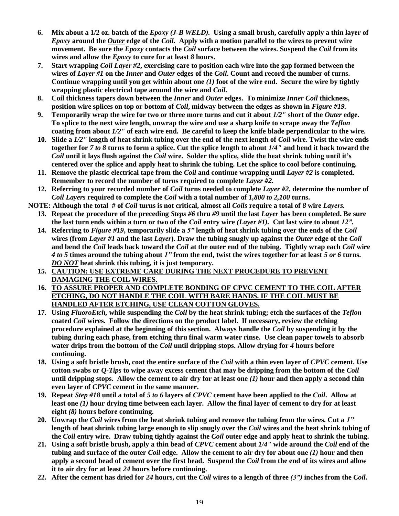- **6. Mix about a 1/2 oz. batch of the** *Epoxy (J-B WELD).* **Using a small brush, carefully apply a thin layer of** *Epoxy* **around the** *Outer* **edge of the** *Coil***. Apply with a motion parallel to the wires to prevent wire movement. Be sure the** *Epoxy* **contacts the** *Coil* **surface between the wires. Suspend the** *Coil* **from its wires and allow the** *Epoxy* **to cure for at least** *8* **hours.**
- **7. Start wrapping** *Coil Layer #2***, exercising care to position each wire into the gap formed between the wires of** *Layer #1* **on the** *Inner* **and** *Outer* **edges of the** *Coil***. Count and record the number of turns. Continue wrapping until you get within about one** *(1)* **foot of the wire end. Secure the wire by tightly wrapping plastic electrical tape around the wire and** *Coil.*
- **8. Coil thickness tapers down between the** *Inner* **and** *Outer* **edges. To minimize** *Inner Coil* **thickness, position wire splices on top or bottom of** *Coil***, midway between the edges as shown in** *Figure #19.*
- **9. Temporarily wrap the wire for two or three more turns and cut it about** *1/2"* **short of the** *Outer* **edge. To splice to the next wire length, unwrap the wire and use a sharp knife to scrape away the** *Teflon* **coating from about** *1/2"* **of each wire end. Be careful to keep the knife blade perpendicular to the wire.**
- **10. Slide a** *1/2"* **length of heat shrink tubing over the end of the next length of** *Coil* **wire. Twist the wire ends together for** *7 to 8* **turns to form a splice. Cut the splice length to about** *1/4"* **and bend it back toward the** *Coil* **until it lays flush against the** *Coil* **wire. Solder the splice, slide the heat shrink tubing until it's centered over the splice and apply heat to shrink the tubing. Let the splice to cool before continuing.**
- **11. Remove the plastic electrical tape from the** *Coil* **and continue wrapping until** *Layer #2* **is completed. Remember to record the number of turns required to complete** *Layer #2.*
- **12. Referring to your recorded number of** *Coil* **turns needed to complete** *Layer #2***, determine the number of** *Coil Layers* **required to complete the** *Coil* **with a total number of** *1,800 to 2,100* **turns.**
- **NOTE: Although the total # of** *Coil* **turns is not critical, almost all** *Coils* **require a total of** *8* **wire** *Layers.*
	- **13. Repeat the procedure of the preceding** *Steps #6* **thru** *#9* **until the last** *Layer* **has been completed. Be sure the last turn ends within a turn or two of the** *Coil* **entry wire** *(Layer #1).* **Cut last wire to about** *12".*
	- **14. Referring to** *Figure #19***, temporarily slide a** *5"***length of heat shrink tubing over the ends of the** *Coil* **wires (from** *Layer #1* **and the last** *Layer***). Draw the tubing snugly up against the** *Outer* **edge of the** *Coil* **and bend the** *Coil* **leads back toward the** *Coil* **at the outer end of the tubing. Tightly wrap each** *Coil* **wire** *4 to 5* **times around the tubing about** *1"***from the end, twist the wires together for at least** *5 or 6* **turns.** *DO NOT* **heat shrink this tubing, it is just temporary.**
	- **15. CAUTION: USE EXTREME CARE DURING THE NEXT PROCEDURE TO PREVENT DAMAGING THE COIL WIRES.**
	- **16. TO ASSURE PROPER AND COMPLETE BONDING OF CPVC CEMENT TO THE COIL AFTER ETCHING, DO NOT HANDLE THE COIL WITH BARE HANDS. IF THE COIL MUST BE HANDLED AFTER ETCHING, USE CLEAN COTTON GLOVES.**
	- **17. Using** *FluoroEtch,* **while suspending the** *Coil* **by the heat shrink tubing; etch the surfaces of the** *Teflon* **coated** *Coil* **wires. Follow the directions on the product label. If necessary, review the etching procedure explained at the beginning of this section. Always handle the** *Coil* **by suspending it by the tubing during each phase, from etching thru final warm water rinse. Use clean paper towels to absorb water drips from the bottom of the** *Coil* **until dripping stops. Allow drying for** *4* **hours before continuing.**
	- **18. Using a soft bristle brush, coat the entire surface of the** *Coil* **with a thin even layer of** *CPVC* **cement. Use cotton swabs or** *Q-Tips* **to wipe away excess cement that may be dripping from the bottom of the** *Coil* **until dripping stops. Allow the cement to air dry for at least one** *(1)* **hour and then apply a second thin even layer of** *CPVC* **cement in the same manner.**
	- **19. Repeat** *Step #18* **until a total of** *5 to 6* **layers of** *CPVC* **cement have been applied to the** *Coil***. Allow at least one** *(1)* **hour drying time between each layer. Allow the final layer of cement to dry for at least eight** *(8)* **hours before continuing.**
	- **20. Unwrap the** *Coil* **wires from the heat shrink tubing and remove the tubing from the wires. Cut a** *1"* **length of heat shrink tubing large enough to slip snugly over the** *Coil* **wires and the heat shrink tubing of the** *Coil* **entry wire. Draw tubing tightly against the** *Coil* **outer edge and apply heat to shrink the tubing.**
	- **21. Using a soft bristle brush, apply a thin bead of** *CPVC* **cement about** *1/4"* **wide around the** *Coil* **end of the tubing and surface of the outer** *Coil* **edge. Allow the cement to air dry for about one** *(1)* **hour and then apply a second bead of cement over the first bead. Suspend the** *Coil* **from the end of its wires and allow it to air dry for at least** *24* **hours before continuing.**
	- **22. After the cement has dried for** *24* **hours, cut the** *Coil* **wires to a length of three** *(3")***inches from the** *Coil.*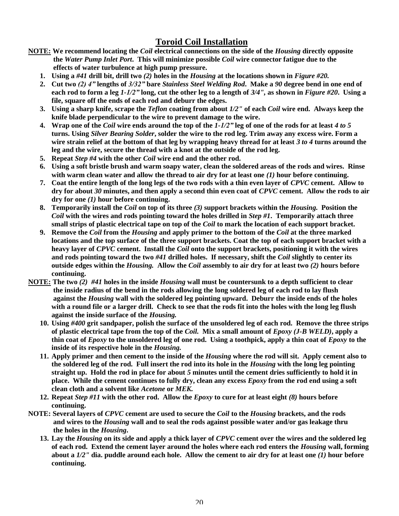## **Toroid Coil Installation**

- **NOTE: We recommend locating the** *Coil* **electrical connections on the side of the** *Housing* **directly opposite the** *Water Pump Inlet Port***. This will minimize possible** *Coil* **wire connector fatigue due to the effects of water turbulence at high pump pressure.**
	- **1. Using a** *#41* **drill bit, drill two** *(2)* **holes in the** *Housing* **at the locations shown in** *Figure #20.*
	- **2. Cut two** *(2)4"***lengths of** *3/32"***bare** *Stainless Steel Welding Rod***. Make a** *90* **degree bend in one end of each rod to form a leg** *1-1/2"***long, cut the other leg to a length of** *3/4",* **as shown in** *Figure #20***. Using a file, square off the ends of each rod and deburr the edges.**
	- **3. Using a sharp knife, scrape the** *Teflon* **coating from about** *1/2"* **of each** *Coil* **wire end. Always keep the knife blade perpendicular to the wire to prevent damage to the wire.**
	- **4. Wrap one of the** *Coil* **wire ends around the top of the** *1-1/2"***leg of one of the rods for at least** *4 to 5* **turns. Using** *Silver Bearing Solder***, solder the wire to the rod leg. Trim away any excess wire. Form a wire strain relief at the bottom of that leg by wrapping heavy thread for at least** *3 to 4* **turns around the leg and the wire, secure the thread with a knot at the outside of the rod leg.**
	- **5. Repeat** *Step #4* **with the other** *Coil* **wire end and the other rod.**
	- **6. Using a soft bristle brush and warm soapy water, clean the soldered areas of the rods and wires. Rinse with warm clean water and allow the thread to air dry for at least one** *(1)* **hour before continuing.**
	- **7. Coat the entire length of the long legs of the two rods with a thin even layer of** *CPVC* **cement. Allow to dry for about** *30* **minutes, and then apply a second thin even coat of** *CPVC* **cement. Allow the rods to air dry for one** *(1)* **hour before continuing.**
	- **8. Temporarily install the** *Coil* **on top of its three** *(3)* **support brackets within the** *Housing.* **Position the** *Coil* **with the wires and rods pointing toward the holes drilled in** *Step #1***. Temporarily attach three small strips of plastic electrical tape on top of the** *Coil* **to mark the location of each support bracket.**
	- **9. Remove the** *Coil* **from the** *Housing* **and apply primer to the bottom of the** *Coil* **at the three marked locations and the top surface of the three support brackets. Coat the top of each support bracket with a heavy layer of** *CPVC* **cement. Install the** *Coil* **onto the support brackets, positioning it with the wires and rods pointing toward the two** *#41* **drilled holes. If necessary, shift the** *Coil* **slightly to center its outside edges within the** *Housing.* **Allow the** *Coil* **assembly to air dry for at least two** *(2)* **hours before continuing.**
- **NOTE: The two** *(2) #41* **holes in the inside** *Housing* **wall must be countersunk to a depth sufficient to clear the inside radius of the bend in the rods allowing the long soldered leg of each rod to lay flush against the** *Housing* **wall with the soldered leg pointing upward. Deburr the inside ends of the holes with a round file or a larger drill. Check to see that the rods fit into the holes with the long leg flush against the inside surface of the** *Housing.*
	- **10. Using** *#400* **grit sandpaper, polish the surface of the unsoldered leg of each rod. Remove the three strips of plastic electrical tape from the top of the** *Coil.* **Mix a small amount of** *Epoxy (J-B WELD)***, apply a thin coat of** *Epoxy* **to the unsoldered leg of one rod. Using a toothpick, apply a thin coat of** *Epoxy* **to the inside of its respective hole in the** *Housing.*
	- **11. Apply primer and then cement to the inside of the** *Housing* **where the rod will sit. Apply cement also to the soldered leg of the rod. Full insert the rod into its hole in the** *Housing* **with the long leg pointing straight up. Hold the rod in place for about** *5* **minutes until the cement dries sufficiently to hold it in place. While the cement continues to fully dry, clean any excess** *Epoxy* **from the rod end using a soft clean cloth and a solvent like** *Acetone* **or** *MEK.*
	- **12. Repeat** *Step #11* **with the other rod. Allow the** *Epoxy* **to cure for at least eight** *(8)* **hours before continuing.**
- **NOTE: Several layers of** *CPVC* **cement are used to secure the** *Coil* **to the** *Housing* **brackets, and the rods and wires to the** *Housing* **wall and to seal the rods against possible water and/or gas leakage thru the holes in the** *Housing***.**
	- **13. Lay the** *Housing* **on its side and apply a thick layer of** *CPVC* **cement over the wires and the soldered leg of each rod. Extend the cement layer around the holes where each rod enters the** *Housing* **wall, forming about a** *1/2"* **dia. puddle around each hole. Allow the cement to air dry for at least one** *(1)* **hour before continuing.**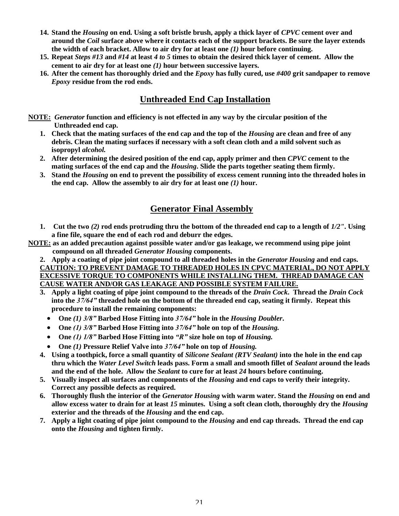- **14. Stand the** *Housing* **on end. Using a soft bristle brush, apply a thick layer of** *CPVC* **cement over and around the** *Coil* **surface above where it contacts each of the support brackets. Be sure the layer extends the width of each bracket. Allow to air dry for at least one** *(1)* **hour before continuing.**
- **15. Repeat** *Steps #13* **and** *#14* **at least** *4 to 5* **times to obtain the desired thick layer of cement. Allow the cement to air dry for at least one** *(1)* **hour between successive layers.**
- **16. After the cement has thoroughly dried and the** *Epoxy* **has fully cured, use** *#400* **grit sandpaper to remove** *Epoxy* **residue from the rod ends.**

## **Unthreaded End Cap Installation**

- **NOTE:** *Generator* **function and efficiency is not effected in any way by the circular position of the Unthreaded end cap.**
	- **1. Check that the mating surfaces of the end cap and the top of the** *Housing* **are clean and free of any debris. Clean the mating surfaces if necessary with a soft clean cloth and a mild solvent such as isopropyl** *alcohol.*
	- **2. After determining the desired position of the end cap, apply primer and then** *CPVC* **cement to the mating surfaces of the end cap and the** *Housing***. Slide the parts together seating them firmly.**
	- **3. Stand the** *Housing* **on end to prevent the possibility of excess cement running into the threaded holes in the end cap. Allow the assembly to air dry for at least one** *(1)* **hour.**

## **Generator Final Assembly**

- **1. Cut the two** *(2)* **rod ends protruding thru the bottom of the threaded end cap to a length of** *1/2"***. Using a fine file, square the end of each rod and deburr the edges.**
- **NOTE: as an added precaution against possible water and/or gas leakage, we recommend using pipe joint compound on all threaded** *Generator Housing* **components.**
	- **2. Apply a coating of pipe joint compound to all threaded holes in the** *Generator Housing* **and end caps. CAUTION: TO PREVENT DAMAGE TO THREADED HOLES IN CPVC MATERIAL, DO NOT APPLY EXCESSIVE TORQUE TO COMPONENTS WHILE INSTALLING THEM. THREAD DAMAGE CAN CAUSE WATER AND/OR GAS LEAKAGE AND POSSIBLE SYSTEM FAILURE.**
	- **3. Apply a light coating of pipe joint compound to the threads of the** *Drain Cock***. Thread the** *Drain Cock* **into the** *37/64"***threaded hole on the bottom of the threaded end cap, seating it firmly. Repeat this procedure to install the remaining components:**
		- **One** *(1) 3/8"***Barbed Hose Fitting into** *37/64"***hole in the** *Housing Doubler***.**
		- **One** *(1)3/8"***Barbed Hose Fitting into** *37/64"***hole on top of the** *Housing.*
		- **One** *(1)1/8"***Barbed Hose Fitting into** *"R"***size hole on top of** *Housing.*
		- **One** *(1)* **Pressure Relief Valve into** *37/64"***hole on top of** *Housing.*
	- **4. Using a toothpick, force a small quantity of** *Silicone Sealant (RTV Sealant)* **into the hole in the end cap thru which the** *Water Level Switch* **leads pass. Form a small and smooth fillet of** *Sealant* **around the leads and the end of the hole. Allow the** *Sealant* **to cure for at least** *24* **hours before continuing.**
	- **5. Visually inspect all surfaces and components of the** *Housing* **and end caps to verify their integrity. Correct any possible defects as required.**
	- **6. Thoroughly flush the interior of the** *Generator Housing* **with warm water. Stand the** *Housing* **on end and allow excess water to drain for at least** *15* **minutes. Using a soft clean cloth, thoroughly dry the** *Housing* **exterior and the threads of the** *Housing* **and the end cap.**
	- **7. Apply a light coating of pipe joint compound to the** *Housing* **and end cap threads. Thread the end cap onto the** *Housing* **and tighten firmly.**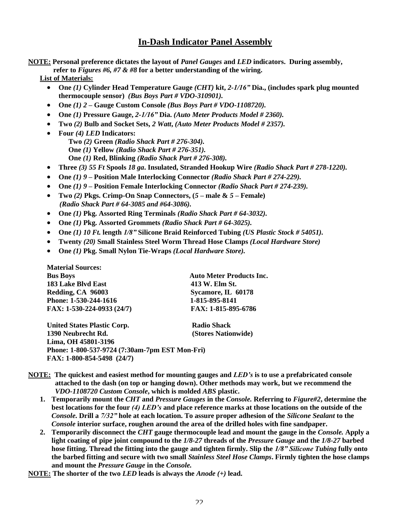## **In-Dash Indicator Panel Assembly**

**NOTE: Personal preference dictates the layout of** *Panel Gauges* **and** *LED* **indicators. During assembly, refer to** *Figures #6, #7 & #8* **for a better understanding of the wiring.**

**List of Materials:**

- **One** *(1)* **Cylinder Head Temperature Gauge** *(CHT)* **kit,** *2-1/16"***Dia., (includes spark plug mounted thermocouple sensor)** *(Bus Boys Part # VDO-310901).*
- **One** *(1) 2* **–Gauge Custom Console** *(Bus Boys Part # VDO-1108720).*
- **One** *(1)* **Pressure Gauge,** *2-1/16"***Dia.** *(Auto Meter Products Model # 2360).*
- **Two** *(2)* **Bulb and Socket Sets,** *2 Watt***,** *(Auto Meter Products Model # 2357).*
- **Four** *(4) LED* **Indicators: Two** *(2)* **Green** *(Radio Shack Part # 276-304).* **One** *(1)* **Yellow** *(Radio Shack Part # 276-351).* **One** *(1)* **Red, Blinking** *(Radio Shack Part # 276-308).*
- **Three** *(3) 55 Ft* **Spools** *18 ga***. Insulated, Stranded Hookup Wire** *(Radio Shack Part # 278-1220).*
- **One** *(1) 9* **–Position Male Interlocking Connector** *(Radio Shack Part # 274-229).*
- **One** *(1) 9* **–Position Female Interlocking Connector** *(Radio Shack Part # 274-239).*
- **Two** *(2)* **Pkgs. Crimp-On Snap Connectors, (***5* **–male &** *5* **–Female)** *(Radio Shack Part # 64-3085 and #64-3086).*
- **One** *(1)* **Pkg. Assorted Ring Terminals** *(Radio Shack Part # 64-3032).*
- **One** *(1)* **Pkg. Assorted Grommets** *(Radio Shack Part # 64-3025).*
- **One** *(1) 10 Ft.* **length** *1/8"***Silicone Braid Reinforced Tubing** *(US Plastic Stock # 54051).*
- **Twenty** *(20)* **Small Stainless Steel Worm Thread Hose Clamps** *(Local Hardware Store)*
- **One** *(1)* **Pkg. Small Nylon Tie-Wraps** *(Local Hardware Store).*

| <b>Material Sources:</b>                                                                                              |                                 |
|-----------------------------------------------------------------------------------------------------------------------|---------------------------------|
| <b>Bus Boys</b>                                                                                                       | <b>Auto Meter Products Inc.</b> |
| 183 Lake Blvd East                                                                                                    | 413 W. Elm St.                  |
| Redding, CA 96003                                                                                                     | Sycamore, IL 60178              |
| Phone: 1-530-244-1616                                                                                                 | 1-815-895-8141                  |
| FAX: 1-530-224-0933 (24/7)                                                                                            | FAX: 1-815-895-6786             |
| $\mathbf{H}$ . $\mathbf{H}$ . $\mathbf{H}$ . $\mathbf{H}$ . $\mathbf{H}$ . $\mathbf{H}$ . $\mathbf{H}$ . $\mathbf{H}$ | n.                              |

**United States Plastic Corp.** Radio Shack **1390 Neubrecht Rd. (Stores Nationwide) Lima, OH 45801-3196 Phone: 1-800-537-9724 (7:30am-7pm EST Mon-Fri) FAX: 1-800-854-5498 (24/7)**

- **NOTE: The quickest and easiest method for mounting gauges and** *LED's***is to use a prefabricated console attached to the dash (on top or hanging down). Other methods may work, but we recommend the** *VDO-1108720 Custom Console***, which is molded** *ABS* **plastic.**
	- **1. Temporarily mount the** *CHT* **and** *Pressure Gauges* **in the** *Console.* **Referring to** *Figure#2***, determine the best locations for the four** *(4)LED's***and place reference marks at those locations on the outside of the** *Console.* **Drill a** *7/32"***hole at each location. To assure proper adhesion of the** *Silicone Sealant* **to the** *Console* **interior surface, roughen around the area of the drilled holes with fine sandpaper.**
	- **2. Temporarily disconnect the** *CHT* **gauge thermocouple lead and mount the gauge in the** *Console.* **Apply a light coating of pipe joint compound to the** *1/8-27* **threads of the** *Pressure Gauge* **and the** *1/8-27* **barbed hose fitting. Thread the fitting into the gauge and tighten firmly. Slip the** *1/8"SiliconeTubing* **fully onto the barbed fitting and secure with two small** *Stainless Steel Hose Clamps***. Firmly tighten the hose clamps and mount the** *Pressure Gauge* **in the** *Console.*

**NOTE: The shorter of the two** *LED* **leads is always the** *Anode (+)* **lead.**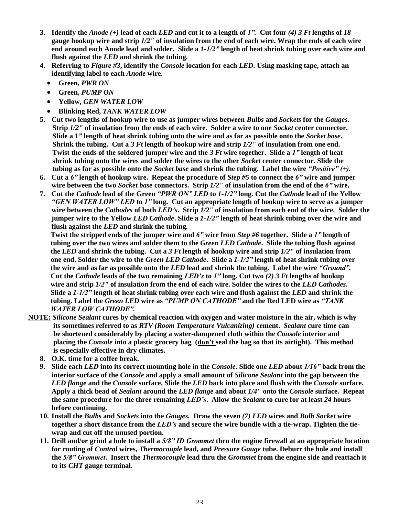- **3. Identify the** *Anode (+)* **lead of each** *LED* **and cut it to a length of** *1".***Cut four** *(4) 3 Ft* **lengths of** *18* **gauge hookup wire and strip** *1/2"* **of insulation from the end of each wire. Wrap the ends of each wire end around each Anode lead and solder. Slide a** *1-1/2"***length of heat shrink tubing over each wire and flush against the** *LED* **and shrink the tubing.**
- **4. Referring to** *Figure #3***, identify the** *Console* **location for each** *LED***. Using masking tape, attach an identifying label to each** *Anode* **wire.**
	- **Green,** *PWR ON*
	- **Green,** *PUMP ON*
	- **Yellow,** *GEN WATER LOW*
	- **Blinking Red,** *TANK WATER LOW*
- **5. Cut two lengths of hookup wire to use as jumper wires between** *Bulbs* **and** *Sockets* **for the** *Gauges.* **Strip** *1/2"* **of insulation from the ends of each wire. Solder a wire to one** *Socket* **center connector. Slide a 1***"***length of heat shrink tubing onto the wire and as far as possible onto the** *Socket base***. Shrink the tubing. Cut a** *3 Ft* **length of hookup wire and strip** *1/2"* **of insulation from one end. Twist the ends of the soldered jumper wire and the** *3 Ft* **wire together. Slide a** *1"***length of heat shrink tubing onto the wires and solder the wires to the other** *Socket* **center connector. Slide the tubing as far as possible onto the** *Socket base* **and shrink the tubing. Label the wire** *"Positive"(+).*
- **6. Cut a** *6"***length of hookup wire. Repeat the procedure of** *Step #5* **to connect the** *6"***wire and jumper wire between the two** *Socket base* **connectors. Strip** *1/2"* **of insulation from the end of the** *6"***wire.**
- **7. Cut the** *Cathode* **lead of the Green** *"PWRON"LED***to** *1-1/2"***long. Cut the** *Cathode* **lead of the Yellow** *"GENWATERLOW"LED***to** *1"***long. Cut an appropriate length of hookup wire to serve as a jumper wire between the** *Cathodes* **of both** *LED's***. Strip** *1/2"* **of insulation from each end of the wire. Solder the jumper wire to the Yellow** *LED Cathode***. Slide a** *1-1/2"***length of heat shrink tubing over the wire and flush against the** *LED* **and shrink the tubing.**

**Twist the stripped ends of the jumper wire and** *6"***wire from** *Step #6* **together. Slide a** *1"***length of tubing over the two wires and solder them to the** *Green LED Cathode***. Slide the tubing flush against the** *LED* **and shrink the tubing. Cut a** *3 Ft* **length of hookup wire and strip** *1/2"* **of insulation from one end. Solder the wire to the** *Green LED Cathode***. Slide a** *1-1/2"***length of heat shrink tubing over the wire and as far as possible onto the** *LED* **lead and shrink the tubing. Label the wire** *"Ground".* **Cut the** *Cathode* **leads of the two remaining** *LED's***to** *1"***long. Cut two** *(2) 3 Ft* **lengths of hookup wire and strip** *1/2"* **of insulation from the end of each wire. Solder the wires to the** *LED Cathodes***. Slide a** *1-1/2"***length of heat shrink tubing over each wire and flush against the** *LED* **and shrink the tubing. Label the** *Green LED* **wire as** *"PUMPONCATHODE"***and the Red LED wire as** *"TANK WATERLOWCATHODE".*

- **NOTE:** *Silicone Sealant* **cures by chemical reaction with oxygen and water moisture in the air, which is why its sometimes referred to as** *RTV (Room Temperature Vulcanizing)* **cement.** *Sealant* **cure time can be shortened considerably by placing a water-dampened cloth within the** *Console* **interior and placing the** *Console* **into a plastic grocery bag (don'tseal the bag so that its airtight). This method is especially effective in dry climates.**
	- **8. O.K. time for a coffee break.**
	- **9. Slide each** *LED* **into its correct mounting hole in the** *Console***. Slide one** *LED* **about** *1/16"***back from the interior surface of the** *Console* **and apply a small amount of** *Silicone Sealant* **into the gap between the** *LED flange* **and the** *Console* **surface. Slide the** *LED* **back into place and flush with the** *Console* **surface. Apply a thick bead of** *Sealant* **around the** *LED flange* **and about** *1/4"* **onto the** *Console* **surface. Repeat the same procedure for the three remaining** *LED's***. Allow the** *Sealant* **to cure for at least** *24* **hours before continuing.**
	- **10. Install the** *Bulbs* **and** *Sockets* **into the** *Gauges.* **Draw the seven** *(7) LED* **wires and** *Bulb Socket* **wire together a short distance from the** *LED's***and secure the wire bundle with a tie-wrap. Tighten the tiewrap and cut off the unused portion.**
	- **11. Drill and/or grind a hole to install a** *5/8"IDGrommet***thru the engine firewall at an appropriate location for routing of** *Control* **wires,** *Thermocouple* **lead, and** *Pressure Gauge* **tube. Deburr the hole and install the** *5/8"Grommet***. Insert the** *Thermocouple* **lead thru the** *Grommet* **from the engine side and reattach it to its** *CHT* **gauge terminal.**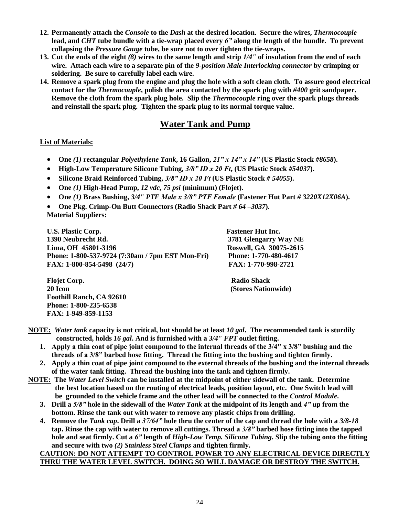- **12. Permanently attach the** *Console* **to the** *Dash* **at the desired location. Secure the wires,** *Thermocouple* **lead, and** *CHT* **tube bundle with a tie-wrap placed every** *6"***along the length of the bundle. To prevent collapsing the** *Pressure Gauge* **tube, be sure not to over tighten the tie-wraps.**
- **13. Cut the ends of the eight** *(8)* **wires to the same length and strip** *1/4"* **of insulation from the end of each wire. Attach each wire to a separate pin of the** *9-position Male Interlocking connector* **by crimping or soldering. Be sure to carefully label each wire.**
- **14. Remove a spark plug from the engine and plug the hole with a soft clean cloth. To assure good electrical contact for the** *Thermocouple***, polish the area contacted by the spark plug with** *#400* **grit sandpaper. Remove the cloth from the spark plug hole. Slip the** *Thermocouple* **ring over the spark plugs threads and reinstall the spark plug. Tighten the spark plug to its normal torque value.**

## **Water Tank and Pump**

#### **List of Materials:**

- **One** *(1)* **rectangular** *Polyethylene Tank***, 16 Gallon,** *21"x14"x14"***(US Plastic Stock** *#8658***).**
- **High-Low Temperature Silicone Tubing,** *3/8"IDx20Ft***, (US Plastic Stock** *#54037***).**
- Silicone Braid Reinforced Tubing,  $3/8$ " ID x 20 Ft (US Plastic Stock # 54055).
- **One** *(1)* **High-Head Pump,** *12 vdc, 75 psi* **(minimum) (Flojet).**
- **One** *(1)* **Brass Bushing,** *3/4" PTF Malex3/8"PTFFemale***(Fastener Hut Part** *# 3220X12X06A***).**
- **One Pkg. Crimp-On Butt Connectors (Radio Shack Part** *# 64 –3037***).**

**Material Suppliers:**

**U.S. Plastic Corp. Fastener Hut Inc. 1390 Neubrecht Rd. 3781 Glengarry Way NE Lima, OH 45801-3196 Roswell, GA 30075-2615 Phone: 1-800-537-9724 (7:30am / 7pm EST Mon-Fri) Phone: 1-770-480-4617 FAX: 1-800-854-5498 (24/7) FAX: 1-770-998-2721**

**Flojet Corp.** Radio Shack **20 Icon (Stores Nationwide) Foothill Ranch, CA 92610 Phone: 1-800-235-6538 FAX: 1-949-859-1153**

- **NOTE:** *Water tank* **capacity is not critical, but should be at least** *10 gal***. The recommended tank is sturdily constructed, holds** *16 gal***. And is furnished with a** *3/4" FPT* **outlet fitting.**
	- **1.** Apply a thin coat of pipe joint compound to the internal threads of the 3/4" x 3/8" bushing and the threads of a 3/8" barbed hose fitting. Thread the fitting into the bushing and tighten firmly.
	- **2. Apply a thin coat of pipe joint compound to the external threads of the bushing and the internal threads of the water tank fitting. Thread the bushing into the tank and tighten firmly.**
- **NOTE: The** *Water Level Switch* **can be installed at the midpoint of either sidewall of the tank. Determine the best location based on the routing of electrical leads, position layout, etc. One Switch lead will be grounded to the vehicle frame and the other lead will be connected to the** *Control Module***.**
	- **3. Drill a** *5/8"***hole in the sidewall of the** *Water Tank* **at the midpoint of its length and** *4"***up from the bottom. Rinse the tank out with water to remove any plastic chips from drilling.**
	- **4. Remove the** *Tank cap***. Drill a** *37/64"***hole thru the center of the cap and thread the hole with a** *3/8-18* **tap. Rinse the cap with water to remove all cuttings. Thread a** *3/8"***barbed hose fitting into the tapped hole and seat firmly. Cut a** *6"***length of** *High-Low Temp. Silicone Tubing***. Slip the tubing onto the fitting and secure with two** *(2) Stainless Steel Clamps* **and tighten firmly.**

#### **CAUTION: DO NOT ATTEMPT TO CONTROL POWER TO ANY ELECTRICAL DEVICE DIRECTLY THRU THE WATER LEVEL SWITCH. DOING SO WILL DAMAGE OR DESTROY THE SWITCH.**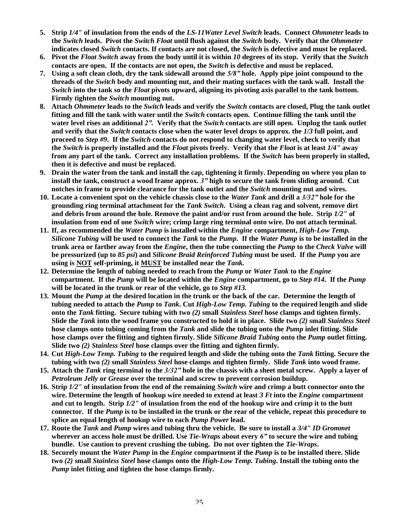- **5. Strip** *1/4"* **of insulation from the ends of the** *LS-11Water Level Switch* **leads. Connect** *Ohmmeter* **leads to the** *Switch* **leads. Pivot the** *Switch Float* **until flush against the** *Switch* **body. Verify that the** *Ohmmeter* **indicates closed** *Switch* **contacts. If contacts are not closed, the** *Switch* **is defective and must be replaced.**
- **6. Pivot the** *Float Switch* **away from the body until it is within** *10* **degrees of its stop. Verify that the** *Switch* **contacts are open. If the contacts are not open, the** *Switch* **is defective and must be replaced.**
- **7. Using a soft clean cloth, dry the tank sidewall around the** *5/8"***hole. Apply pipe joint compound to the threads of the** *Switch* **body and mounting nut, and their mating surfaces with the tank wall. Install the** *Switch* **into the tank so the** *Float* **pivots upward, aligning its pivoting axis parallel to the tank bottom. Firmly tighten the** *Switch* **mounting nut.**
- **8. Attach** *Ohmmeter* **leads to the** *Switch* **leads and verify the** *Switch* **contacts are closed, Plug the tank outlet fitting and fill the tank with water until the** *Switch* **contacts open. Continue filling the tank until the water level rises an additional** *2".***Verify that the** *Switch* **contacts are still open. Unplug the tank outlet and verify that the** *Switch* **contacts close when the water level drops to approx. the** *1/3* **full point, and proceed to** *Step #9***. If the** *Switch* **contacts do not respond to changing water level, check to verify that the** *Switch* **is properly installed and the** *Float* **pivots freely. Verify that the** *Float* **is at least** *1/4"* **away from any part of the tank. Correct any installation problems. If the** *Switch* **has been properly in stalled, then it is defective and must be replaced.**
- **9. Drain the water from the tank and install the cap, tightening it firmly. Depending on where you plan to install the tank, construct a wood frame approx.** *3"***high to secure the tank from sliding around. Cut notches in frame to provide clearance for the tank outlet and the** *Switch* **mounting nut and wires.**
- **10. Locate a convenient spot on the vehicle chassis close to the** *Water Tank* **and drill a** *3/32"***hole for the grounding ring terminal attachment for the** *Tank Switch***. Using a clean rag and solvent, remove dirt and debris from around the hole. Remove the paint and/or rust from around the hole. Strip** *1/2"* **of insulation from end of one** *Switch* **wire; crimp large ring terminal onto wire. Do not attach terminal.**
- **11. If, as recommended the** *Water Pump* **is installed within the** *Engine* **compartment,** *High-Low Temp. Silicone Tubing* **will be used to connect the** *Tank* **to the** *Pump***. If the** *Water Pump* **is to be installed in the trunk area or farther away from the** *Engine***, then the tube connecting the** *Pump* **to the** *Check Valve* **will be pressurized (up to** *85 psi***) and** *Silicone Braid Reinforced Tubing* **must be used. If the** *Pump* **you are using is NOT self-priming, it MUST be installed near the** *Tank.*
- **12. Determine the length of tubing needed to reach from the** *Pump* **or** *Water Tank* **to the** *Engine* **compartment. If the** *Pump* **will be located within the** *Engine* **compartment, go to** *Step #14***. If the** *Pump* **will be located in the trunk or rear of the vehicle, go to** *Step #13.*
- **13. Mount the** *Pump* **at the desired location in the trunk or the back of the car. Determine the length of tubing needed to attach the** *Pump* **to** *Tank***. Cut** *High-Low Temp. Tubing* **to the required length and slide onto the** *Tank* **fitting. Secure tubing with two** *(2)* **small** *Stainless Steel* **hose clamps and tighten firmly. Slide the** *Tank* **into the wood frame you constructed to hold it in place. Slide two** *(2)* **small** *Stainless Steel* **hose clamps onto tubing coming from the** *Tank* **and slide the tubing onto the** *Pump* **inlet fitting. Slide hose clamps over the fitting and tighten firmly. Slide** *Silicone Braid Tubing* **onto the** *Pump* **outlet fitting. Slide two** *(2) Stainless Steel* **hose clamps over the fitting and tighten firmly.**
- **14. Cut** *High-Low Temp. Tubing* **to the required length and slide the tubing onto the** *Tank* **fitting. Secure the tubing with two** *(2)* **small** *Stainless Steel* **hose clamps and tighten firmly. Slide** *Tank* **into wood frame.**
- **15. Attach the** *Tank* **ring terminal to the** *3/32"***hole in the chassis with a sheet metal screw. Apply a layer of** *Petroleum Jelly* **or** *Grease* **over the terminal and screw to prevent corrosion buildup.**
- **16. Strip** *1/2"* **of insulation from the end of the remaining** *Switch* **wire and crimp a butt connector onto the wire. Determine the length of hookup wire needed to extend at least** *3 Ft* **into the** *Engine* **compartment and cut to length. Strip** *1/2"* **of insulation from the end of the hookup wire and crimp it to the butt connector. If the** *Pump* **is to be installed in the trunk or the rear of the vehicle, repeat this procedure to splice an equal length of hookup wire to each** *Pump Power* **lead.**
- **17. Route the** *Tank* **and** *Pump* **wires and tubing thru the vehicle. Be sure to install a** *3/4" ID Grommet* **wherever an access hole must be drilled. Use** *Tie-Wraps* **about every** *6"***to secure the wire and tubing bundle. Use caution to prevent crushing the tubing. Do not over tighten the** *Tie-Wraps***.**
- **18. Securely mount the** *Water Pump* **in the** *Engine* **compartment if the** *Pump* **is to be installed there. Slide two** *(2)* **small** *Stainless Steel* **hose clamps onto the** *High-Low Temp. Tubing***. Install the tubing onto the** *Pump* **inlet fitting and tighten the hose clamps firmly.**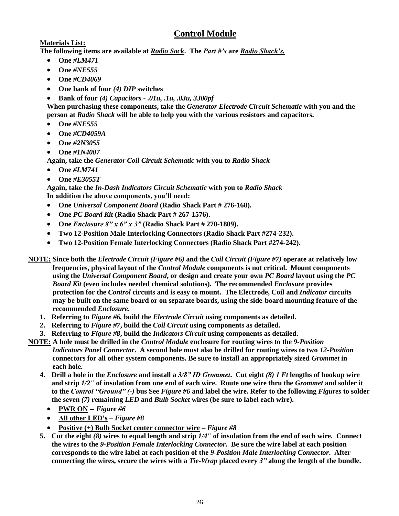## **Control Module**

#### **Materials List:**

**The following items are available at** *Radio Sack***. The** *Part#'s***are** *RadioShack's.*

- **One** *#LM471*
- **One** *#NE555*
- **One** *#CD4069*
- **One bank of four** *(4) DIP* **switches**
- **Bank of four** *(4) Capacitors - .01u, .1u, .03u, 3300pf*

**When purchasing these components, take the** *Generator Electrode Circuit Schematic* **with you and the person at** *Radio Shack* **will be able to help you with the various resistors and capacitors.**

- **One** *#NE555*
- **One** *#CD4059A*
- **One** *#2N3055*
- **One** *#1N4007*
- **Again, take the** *Generator Coil Circuit Schematic* **with you to** *Radio Shack*
- **One** *#LM741*
- **One** *#E3055T*

**Again, take the** *In-Dash Indicators Circuit Schematic* **with you to** *Radio Shack* In addition the above components, you'll need:

- **One** *Universal Component Board* **(Radio Shack Part # 276-168).**
- **One** *PC Board Kit* **(Radio Shack Part # 267-1576).**
- **One** *Enclosure8"x6"x3"***(Radio Shack Part # 270-1809).**
- **Two 12-Position Male Interlocking Connectors (Radio Shack Part #274-232).**
- **Two 12-Position Female Interlocking Connectors (Radio Shack Part #274-242).**
- **NOTE: Since both the** *Electrode Circuit (Figure #6)* **and the** *Coil Circuit (Figure #7)* **operate at relatively low frequencies, physical layout of the** *Control Module* **components is not critical. Mount components using the** *Universal Component Board***, or design and create your own** *PC Board* **layout using the** *PC Board Kit* **(even includes needed chemical solutions). The recommended** *Enclosure* **provides protection for the** *Control* **circuits and is easy to mount. The Electrode, Coil and** *Indicator* **circuits may be built on the same board or on separate boards, using the side-board mounting feature of the recommended** *Enclosure.*
	- **1. Referring to** *Figure #6,* **build the** *Electrode Circuit* **using components as detailed.**
	- **2. Referring to** *Figure #7***, build the** *Coil Circuit* **using components as detailed.**
	- **3. Referring to** *Figure #8***, build the** *Indicators Circuit* **using components as detailed.**
- **NOTE: A hole must be drilled in the** *Control Module* **enclosure for routing wires to the** *9-Position Indicators Panel Connector***. A second hole must also be drilled for routing wires to two** *12-Position* **connectors for all other system components. Be sure to install an appropriately sized** *Grommet* **in each hole.**
	- **4. Drill a hole in the** *Enclosure* **and install a** *3/8"IDGrommet***. Cut eight** *(8) 1 Ft* **lengths of hookup wire and strip** *1/2"* **of insulation from one end of each wire. Route one wire thru the** *Grommet* **and solder it to the** *Control"Ground"(-)* **bus See** *Figure #6* **and label the wire. Refer to the following** *Figures* **to solder the seven** *(7)* **remaining** *LED* **and** *Bulb Socket* **wires (be sure to label each wire).**
		- **PWR ON --** *Figure #6*
		- All other LED's *Figure #8*
		- **Positive (+) Bulb Socket center connector wire –***Figure #8*
	- **5. Cut the eight** *(8)* **wires to equal length and strip** *1/4"* **of insulation from the end of each wire. Connect the wires to the** *9-Position Female Interlocking Connector***. Be sure the wire label at each position corresponds to the wire label at each position of the** *9-Position Male Interlocking Connector***. After connecting the wires, secure the wires with a** *Tie-Wrap* **placed every** *3"***along the length of the bundle.**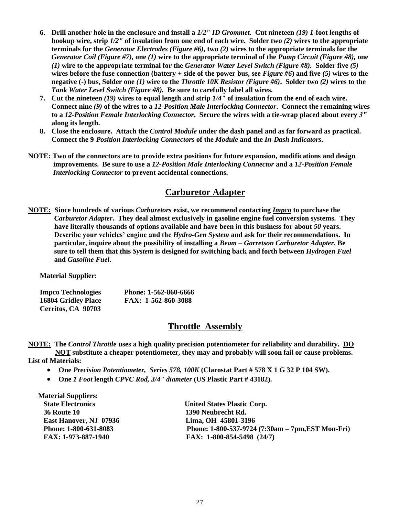- **6. Drill another hole in the enclosure and install a** *1/2" ID Grommet***. Cut nineteen** *(19) 1***-foot lengths of hookup wire, strip** *1/2"* **of insulation from one end of each wire. Solder two** *(2)* **wires to the appropriate terminals for the** *Generator Electrodes (Figure #6),* **two** *(2)* **wires to the appropriate terminals for the** *Generator Coil (Figure #7),* **one** *(1)* **wire to the appropriate terminal of the** *Pump Circuit (Figure #8),* **one** *(1)* **wire to the appropriate terminal for the** *Generator Water Level Switch (Figure #8).* **Solder five** *(5)* **wires before the fuse connection (battery + side of the power bus, see** *Figure #6***) and five** *(5)* **wires to the negative (-) bus, Solder one** *(1)* **wire to the** *Throttle 10K Resistor (Figure #6)***. Solder two** *(2)* **wires to the** *Tank Water Level Switch (Figure #8).* **Be sure to carefully label all wires.**
- **7. Cut the nineteen** *(19)* **wires to equal length and strip** *1/4"* **of insulation from the end of each wire. Connect nine** *(9)* **of the wires to a** *12-Position Male Interlocking Connector***. Connect the remaining wires to a** *12-Position Female Interlocking Connector***. Secure the wires with a tie-wrap placed about every** *3"* **along its length.**
- **8. Close the enclosure. Attach the** *Control Module* **under the dash panel and as far forward as practical. Connect the 9-***Position Interlocking Connectors* **of the** *Module* **and the** *In-Dash Indicators***.**
- **NOTE: Two of the connectors are to provide extra positions for future expansion, modifications and design improvements. Be sure to use a** *12-Position Male Interlocking Connector* **and a** *12-Position Female Interlocking Connector* **to prevent accidental connections.**

## **Carburetor Adapter**

**NOTE: Since hundreds of various** *Carburetors* **exist, we recommend contacting** *Impco* **to purchase the** *Carburetor Adapter***. They deal almost exclusively in gasoline engine fuel conversion systems. They have literally thousands of options available and have been in this business for about** *50* **years. Describe your vehicles' engine and the** *Hydro-Gen System* **and ask for their recommendations. In particular, inquire about the possibility of installing a** *Beam –Garretson Carburetor Adapter***. Be sure to tell them that this** *System* **is designed for switching back and forth between** *Hydrogen Fuel* **and** *Gasoline Fuel***.**

**Material Supplier:**

| Impco Technologies  | Phone: 1-562-860-6666 |
|---------------------|-----------------------|
| 16804 Gridley Place | FAX: 1-562-860-3088   |
| Cerritos, CA 90703  |                       |

#### **Throttle Assembly**

**NOTE: The** *Control Throttle* **uses a high quality precision potentiometer for reliability and durability. DO NOT substitute a cheaper potentiometer, they may and probably will soon fail or cause problems.**

**List of Materials:**

- **One** *Precision Potentiometer, Series 578, 100K* **(Clarostat Part # 578 X 1 G 32 P 104 SW).**
- **One** *1 Foot* **length** *CPVC Rod, 3/4" diameter* **(US Plastic Part # 43182).**

**Material Suppliers: 36 Route 10 1390 Neubrecht Rd. East Hanover, NJ 07936 Lima, OH 45801-3196**

**State Electronics United States Plastic Corp. Phone: 1-800-631-8083 Phone: 1-800-537-9724 (7:30am –7pm,EST Mon-Fri) FAX: 1-973-887-1940 FAX: 1-800-854-5498 (24/7)**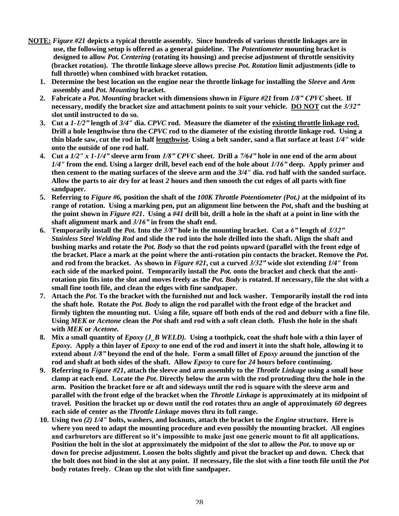- **NOTE:** *Figure #21* **depicts a typical throttle assembly. Since hundreds of various throttle linkages are in use, the following setup is offered as a general guideline. The** *Potentiometer* **mounting bracket is designed to allow** *Pot. Centering* **(rotating its housing) and precise adjustment of throttle sensitivity (bracket rotation). The throttle linkage sleeve allows precise** *Pot. Rotation* **limit adjustments (idle to full throttle) when combined with bracket rotation.**
	- **1. Determine the best location on the engine near the throttle linkage for installing the** *Sleeve* **and** *Arm* **assembly and** *Pot. Mounting* **bracket.**
	- **2. Fabricate a** *Pot. Mounting* **bracket with dimensions shown in** *Figure #21* **from** *1/8"CPVC***sheet. If necessary, modify the bracket size and attachment points to suit your vehicle. DO NOT cut the** *3/32"* **slot until instructed to do so.**
	- **3. Cut a** *1-1/2"***length of** *3/4"* **dia.** *CPVC* **rod. Measure the diameter of the existing throttle linkage rod. Drill a hole lengthwise thru the** *CPVC* **rod to the diameter of the existing throttle linkage rod. Using a thin blade saw, cut the rod in half lengthwise. Using a belt sander, sand a flat surface at least** *1/4"* **wide onto the outside of one rod half.**
	- **4. Cut a** *1/2" x 1-1/4"***sleeve arm from** *1/8"CPVC***sheet. Drill a** *7/64"***hole in one end of the arm about** *1/4"* **from the end. Using a larger drill, bevel each end of the hole about** *1/16"***deep. Apply primer and then cement to the mating surfaces of the sleeve arm and the** *3/4"* **dia. rod half with the sanded surface. Allow the parts to air dry for at least** *2* **hours and then smooth the cut edges of all parts with fine sandpaper.**
	- **5. Referring to** *Figure #6,* **position the shaft of the** *100K Throttle Potentiometer (Pot.)* **at the midpoint of its range of rotation. Using a marking pen, put an alignment line between the** *Pot***, shaft and the bushing at the point shown in** *Figure #21***. Using a** *#41* **drill bit, drill a hole in the shaft at a point in line with the shaft alignment mark and** *3/16"***in from the shaft end.**
	- **6. Temporarily install the** *Pot.* **Into the** *3/8"***hole in the mounting bracket. Cut a** *6"***length of** *3/32" Stainless Steel Welding Rod* **and slide the rod into the hole drilled into the shaft. Align the shaft and bushing marks and rotate the** *Pot. Body* **so that the rod points upward (parallel with the front edge of the bracket. Place a mark at the point where the anti-rotation pin contacts the bracket. Remove the** *Pot***. and rod from the bracket. As shown in** *Figure #21***, cut a curved** *3/32"***wide slot extending** *1/4"* **from each side of the marked point. Temporarily install the** *Pot.* **onto the bracket and check that the antirotation pin fits into the slot and moves freely as the** *Pot. Body* **is rotated. If necessary, file the slot with a small fine tooth file, and clean the edges with fine sandpaper.**
	- **7. Attach the** *Pot***. To the bracket with the furnished nut and lock washer. Temporarily install the rod into the shaft hole. Rotate the** *Pot. Body* **to align the rod parallel with the front edge of the bracket and firmly tighten the mounting nut. Using a file, square off both ends of the rod and deburr with a fine file. Using** *MEK* **or** *Acetone* **clean the** *Pot* **shaft and rod with a soft clean cloth. Flush the hole in the shaft with** *MEK* **or** *Acetone.*
	- **8. Mix a small quantity of** *Epoxy (J\_B WELD).* **Using a toothpick, coat the shaft hole with a thin layer of** *Epoxy.* **Apply a thin layer of** *Epoxy* **to one end of the rod and insert it into the shaft hole, allowing it to extend about** *1/8"***beyond the end of the hole. Form a small fillet of** *Epoxy* **around the junction of the rod and shaft at both sides of the shaft. Allow** *Epoxy* **to cure for** *24* **hours before continuing.**
	- **9. Referring to** *Figure #21***, attach the sleeve and arm assembly to the** *Throttle Linkage* **using a small hose clamp at each end. Locate the** *Pot***. Directly below the arm with the rod protruding thru the hole in the arm. Position the bracket fore or aft and sideways until the rod is square with the sleeve arm and parallel with the front edge of the bracket when the** *Throttle Linkage* **is approximately at its midpoint of travel. Position the bracket up or down until the rod rotates thru an angle of approximately** *60* **degrees each side of center as the** *Throttle Linkage* **moves thru its full range.**
	- **10. Using two** *(2) 1/4"* **bolts, washers, and locknuts, attach the bracket to the** *Engine* **structure. Here is where you need to adapt the mounting procedure and even possibly the mounting bracket. All engines** and carburetors are different so it's impossible to make just one generic mount to fit all applications. **Position the bolt in the slot at approximately the midpoint of the slot to allow the** *Pot***. to move up or down for precise adjustment. Loosen the bolts slightly and pivot the bracket up and down. Check that the bolt does not bind in the slot at any point. If necessary, file the slot with a fine tooth file until the** *Pot* **body rotates freely. Clean up the slot with fine sandpaper.**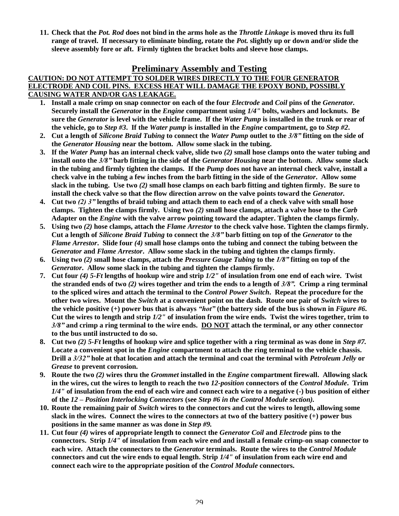**11. Check that the** *Pot. Rod* **does not bind in the arms hole as the** *Throttle Linkage* **is moved thru its full range of travel. If necessary to eliminate binding, rotate the** *Pot.* **slightly up or down and/or slide the sleeve assembly fore or aft. Firmly tighten the bracket bolts and sleeve hose clamps.**

#### **Preliminary Assembly and Testing**

#### **CAUTION: DO NOT ATTEMPT TO SOLDER WIRES DIRECTLY TO THE FOUR GENERATOR ELECTRODE AND COIL PINS. EXCESS HEAT WILL DAMAGE THE EPOXY BOND, POSSIBLY CAUSING WATER AND/OR GAS LEAKAGE.**

- **1. Install a male crimp on snap connector on each of the four** *Electrode* **and** *Coil* **pins of the** *Generator.* **Securely install the** *Generator* **in the** *Engine* **compartment using** *1/4"* **bolts, washers and locknuts. Be sure the** *Generator* **is level with the vehicle frame. If the** *Water Pump* **is installed in the trunk or rear of the vehicle, go to** *Step #3***. If the** *Water pump* **is installed in the** *Engine* **compartment, go to** *Step #2***.**
- **2. Cut a length of** *Silicone Braid Tubing* **to connect the** *Water Pump* **outlet to the** *3/8"***fitting on the side of the** *Generator Housing* **near the bottom. Allow some slack in the tubing.**
- **3. If the** *Water Pump* **has an internal check valve, slide two** *(2)* **small hose clamps onto the water tubing and install onto the** *3/8"***barb fitting in the side of the** *Generator Housing* **near the bottom. Allow some slack in the tubing and firmly tighten the clamps. If the** *Pump* **does not have an internal check valve, install a check valve in the tubing a few inches from the barb fitting in the side of the** *Generator***. Allow some slack in the tubing. Use two** *(2)* **small hose clamps on each barb fitting and tighten firmly. Be sure to install the check valve so that the flow direction arrow on the valve points toward the** *Generator.*
- **4. Cut two** *(2)3"***lengths of braid tubing and attach them to each end of a check valve with small hose clamps. Tighten the clamps firmly. Using two** *(2)* **small hose clamps, attach a valve hose to the** *Carb* **Adapter on the** *Engine* **with the valve arrow pointing toward the adapter. Tighten the clamps firmly.**
- **5. Using two** *(2)* **hose clamps, attach the** *Flame Arrestor* **to the check valve hose. Tighten the clamps firmly. Cut a length of** *Silicone Braid Tubing* **to connect the** *3/8"***barb fitting on top of the** *Generator* **to the** *Flame Arrestor***. Slide four** *(4)* **small hose clamps onto the tubing and connect the tubing between the** *Generator* **and** *Flame Arrestor***. Allow some slack in the tubing and tighten the clamps firmly.**
- **6. Using two** *(2)* **small hose clamps, attach the** *Pressure Gauge Tubing* **to the** *1/8"***fitting on top of the** *Generator***. Allow some slack in the tubing and tighten the clamps firmly.**
- **7. Cut four** *(4) 5-Ft* **lengths of hookup wire and strip** *1/2"* **of insulation from one end of each wire. Twist the stranded ends of two** *(2)* **wires together and trim the ends to a length of** *3/8".***Crimp a ring terminal to the spliced wires and attach the terminal to the** *Control Power Switch***. Repeat the procedure for the other two wires. Mount the** *Switch* **at a convenient point on the dash. Route one pair of** *Switch* **wires to the vehicle positive (+) power bus that is always** *"hot"***(the battery side of the bus is shown in** *Figure #6***. Cut the wires to length and strip** *1/2"* **of insulation from the wire ends. Twist the wires together, trim to** *3/8"***and crimp a ring terminal to the wire ends. DO NOT attach the terminal, or any other connector to the bus until instructed to do so.**
- **8. Cut two** *(2) 5-Ft* **lengths of hookup wire and splice together with a ring terminal as was done in** *Step #7.* **Locate a convenient spot in the** *Engine* **compartment to attach the ring terminal to the vehicle chassis. Drill a** *3/32"***hole at that location and attach the terminal and coat the terminal with** *Petroleum Jelly* **or** *Grease* **to prevent corrosion.**
- **9. Route the two** *(2)* **wires thru the** *Grommet* **installed in the** *Engine* **compartment firewall. Allowing slack in the wires, cut the wires to length to reach the two** *12-position* **connectors of the** *Control Module***. Trim** *1/4"* **of insulation from the end of each wire and connect each wire to a negative (-) bus position of either of the** *12 –Position Interlocking Connectors* **(see** *Step #6 in the Control Module section).*
- **10. Route the remaining pair of** *Switch* **wires to the connectors and cut the wires to length, allowing some slack in the wires. Connect the wires to the connectors at two of the battery positive (+) power bus positions in the same manner as was done in** *Step #9.*
- **11. Cut four** *(4)* **wires of appropriate length to connect the** *Generator Coil* **and** *Electrode* **pins to the connectors. Strip** *1/4"* **of insulation from each wire end and install a female crimp-on snap connector to each wire. Attach the connectors to the** *Generator* **terminals. Route the wires to the** *Control Module* **connectors and cut the wire ends to equal length. Strip** *1/4"* **of insulation from each wire end and connect each wire to the appropriate position of the** *Control Module* **connectors.**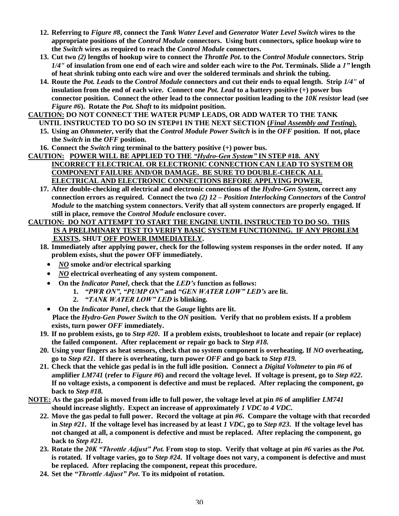- **12. Referring to** *Figure #8***, connect the** *Tank Water Level* **and** *Generator Water Level Switch* **wires to the appropriate positions of the** *Control Module* **connectors. Using butt connectors, splice hookup wire to the** *Switch* **wires as required to reach the** *Control Module* **connectors.**
- **13. Cut two** *(2)* **lengths of hookup wire to connect the** *Throttle Pot***. to the** *Control Module* **connectors. Strip** *1/4"* **of insulation from one end of each wire and solder each wire to the** *Pot***. Terminals. Slide a** *1"***length of heat shrink tubing onto each wire and over the soldered terminals and shrink the tubing.**
- **14. Route the** *Pot. Leads* **to the** *Control Module* **connectors and cut their ends to equal length. Strip** *1/4"* **of insulation from the end of each wire. Connect one** *Pot. Lead* **to a battery positive (+) power bus connector position. Connect the other lead to the connector position leading to the** *10K resistor* **lead (see** *Figure #6***). Rotate the** *Pot. Shaft* **to its midpoint position.**
- **CAUTION: DO NOT CONNECT THE WATER PUMP LEADS, OR ADD WATER TO THE TANK**
	- **UNTIL INSTRUCTED TO DO SO IN STEP#1 IN THE NEXT SECTION (***Final Assembly and Testing***). 15. Using an** *Ohmmeter***, verify that the** *Control Module Power Switch* **is in the** *OFF* **position. If not, place the** *Switch* **in the** *OFF* **position.**
	- **16. Connect the** *Switch* **ring terminal to the battery positive (+) power bus.**
- **CAUTION: POWER WILL BE APPLIED TO THE** *"Hydro-GenSystem"***IN STEP #18. ANY INCORRECT ELECTRICAL OR ELECTRONIC CONNECTION CAN LEAD TO SYSTEM OR COMPONENT FAILURE AND/OR DAMAGE. BE SURE TO DOUBLE-CHECK ALL ELECTRICAL AND ELECTRONIC CONNECTIONS BEFORE APPLYING POWER.**
	- **17. After double-checking all electrical and electronic connections of the** *Hydro-Gen System***, correct any connection errors as required. Connect the two** *(2) 12 –Position Interlocking Connectors* **of the** *Control Module* **to the matching system connectors. Verify that all system connectors are properly engaged. If still in place, remove the** *Control Module* **enclosure cover.**

#### **CAUTION: DO NOT ATTEMPT TO START THE ENGINE UNTIL INSTRUCTED TO DO SO. THIS IS A PRELIMINARY TEST TO VERIFY BASIC SYSTEM FUNCTIONING. IF ANY PROBLEM EXISTS, SHUT OFF POWER IMMEDIATELY.**

- **18. Immediately after applying power, check for the following system responses in the order noted. If any problem exists, shut the power OFF immediately.**
	- *NO* **smoke and/or electrical sparking**
	- *NO* **electrical overheating of any system component.**
	- **On the** *Indicator Panel***, check that the** *LED's***function as follows:**
		- **1.** *"PWRON","PUMPON"***and** *"GENWATERLOW"LED's***are lit.**
		- **2.** *"TANKWATERLOW"LED***is blinking.**
	- **On the** *Indicator Panel***, check that the** *Gauge* **lights are lit. Place the** *Hydro-Gen Power Switch* **to the** *ON* **position. Verify that no problem exists. If a problem exists, turn power** *OFF* **immediately.**
- **19. If no problem exists, go to** *Step #20***. If a problem exists, troubleshoot to locate and repair (or replace) the failed component. After replacement or repair go back to** *Step #18.*
- **20. Using your fingers as heat sensors, check that no system component is overheating. If** *NO* **overheating, go to** *Step #21***. If there is overheating, turn power** *OFF* **and go back to** *Step #19.*
- **21. Check that the vehicle gas pedal is in the full idle position. Connect a** *Digital Voltmeter* **to pin** *#6* **of amplifier** *LM741* **(refer to** *Figure #6***) and record the voltage level. If voltage is present, go to** *Step #22***. If no voltage exists, a component is defective and must be replaced. After replacing the component, go back to** *Step #18.*
- **NOTE: As the gas pedal is moved from idle to full power, the voltage level at pin** *#6* **of amplifier** *LM741* **should increase slightly. Expect an increase of approximately** *1 VDC to 4 VDC***.**
	- **22. Move the gas pedal to full power. Record the voltage at pin** *#6***. Compare the voltage with that recorded in** *Step #21***. If the voltage level has increased by at least** *1 VDC***, go to** *Step #23***. If the voltage level has not changed at all, a component is defective and must be replaced. After replacing the component, go back to** *Step #21.*
	- **23. Rotate the** *20K"ThrottleAdjust"Pot.***From stop to stop. Verify that voltage at pin** *#6* **varies as the** *Pot.* **is rotated. If voltage varies, go to** *Step #24***. If voltage does not vary, a component is defective and must be replaced. After replacing the component, repeat this procedure.**
	- 24. Set the *"Throttle Adjust" Pot*. To its midpoint of rotation.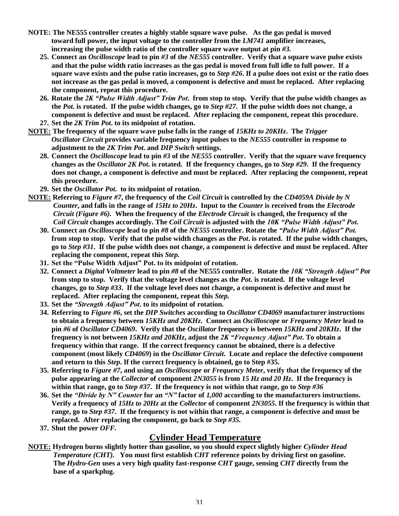- **NOTE: The NE555 controller creates a highly stable square wave pulse. As the gas pedal is moved toward full power, the input voltage to the controller from the** *LM741* **amplifier increases, increasing the pulse width ratio of the controller square wave output at pin** *#3.*
	- **25. Connect an** *Oscilloscope* **lead to pin** *#3* **of the** *NE555* **controller. Verify that a square wave pulse exists and that the pulse width ratio increases as the gas pedal is moved from full idle to full power. If a square wave exists and the pulse ratio increases, go to** *Step #26***. If a pulse does not exist or the ratio does not increase as the gas pedal is moved, a component is defective and must be replaced. After replacing the component, repeat this procedure.**
	- **26. Rotate the** *2K"PulseWidthAdjust"TrimPot***. from stop to stop. Verify that the pulse width changes as the** *Pot.* **is rotated. If the pulse width changes, go to** *Step #27***. If the pulse width does not change, a component is defective and must be replaced. After replacing the component, repeat this procedure.**
	- **27. Set the** *2K Trim Pot***. to its midpoint of rotation.**
- **NOTE: The frequency of the square wave pulse falls in the range of** *15KHz to 20KHz***. The** *Trigger Oscillator Circuit* **provides variable frequency input pulses to the** *NE555* **controller in response to adjustment to the** *2K Trim Pot***. and** *DIP Switch* **settings.**
	- **28. Connect the** *Oscilloscope* **lead to pin** *#3* **of the** *NE555* **controller. Verify that the square wave frequency changes as the** *Oscillator 2K Pot***. is rotated. If the frequency changes, go to** *Step #29***. If the frequency does not change, a component is defective and must be replaced. After replacing the component, repeat this procedure.**
	- **29. Set the** *Oscillator Pot***. to its midpoint of rotation.**
- **NOTE: Referring to** *Figure #7***, the frequency of the** *Coil Circuit* **is controlled by the** *CD4059A Divide by N Counter***, and falls in the range of** *15Hz to 20Hz***. Input to the** *Counter* **is received from the** *Electrode Circuit (Figure #6).* **When the frequency of the** *Electrode Circuit* **is changed, the frequency of the** *Coil Circuit* **changes accordingly. The** *Coil Circuit* **is adjusted with the** *10K"PulseWidthAdjust"Pot.*
	- **30. Connect an** *Oscilloscope* **lead to pin** *#8* **of the** *NE555* **controller. Rotate the** *"PulseWidthAdjust"Pot.* **from stop to stop. Verify that the pulse width changes as the** *Pot***. is rotated. If the pulse width changes, go to** *Step #31***. If the pulse width does not change, a component is defective and must be replaced. After replacing the component, repeat this** *Step.*
	- **31. Setthe"PulseWidthAdjust"Pot.toitsmidpointofrotation.**
	- **32. Connect a** *Digital Voltmeter* **lead to pin** *#8* **of the NE555 controller. Rotate the** *10K"StrengthAdjust"Pot* **from stop to stop. Verify that the voltage level changes as the** *Pot***. is rotated. If the voltage level changes, go to** *Step #33***. If the voltage level does not change, a component is defective and must be replaced. After replacing the component, repeat this** *Step.*
	- **33.** Set the "Strength Adjust" Pot. to its midpoint of rotation.
	- **34. Referring to** *Figure #6***, set the** *DIP Switches* **according to** *Oscillator CD4069* **manufacturer instructions to obtain a frequency between** *15KHz and 20KHz***. Connect an** *Oscilloscope* **or** *Frequency Meter* **lead to pin** *#6* **of** *Oscillator CD4069***. Verify that the** *Oscillator* **frequency is between** *15KHz and 20KHz***. If the frequency is not between** *15KHz and 20KHz***, adjust the** *2K"FrequencyAdjust"Pot***. To obtain a frequency within that range. If the correct frequency cannot be obtained, there is a defective component (most likely** *CD4069***) in the** *Oscillator Circuit***. Locate and replace the defective component and return to this** *Step***. If the correct frequency is obtained, go to Step #35.**
	- **35. Referring to** *Figure #7***, and using an** *Oscilloscope* **or** *Frequency Meter***, verify that the frequency of the pulse appearing at the** *Collector* **of component** *2N3055* **is from** *15 Hz and 20 Hz***. If the frequency is within that range, go to** *Step #37***. If the frequency is not within that range, go to** *Step #36*
	- **36. Set the** *"DividebyN"Counter***for an** *"N"***factor of** *1,000* **according to the manufacturers instructions. Verify a frequency of** *15Hz to 20Hz* **at the** *Collector* **of component** *2N3055***. If the frequency is within that range, go to** *Step #37***. If the frequency is not within that range, a component is defective and must be replaced. After replacing the component, go back to** *Step #35.*
	- **37. Shut the power** *OFF.*

## **Cylinder Head Temperature**

**NOTE: Hydrogen burns slightly hotter than gasoline, so you should expect slightly higher** *Cylinder Head Temperature (CHT).* **You must first establish** *CHT* **reference points by driving first on gasoline. The** *Hydro-Gen* **uses a very high quality fast-response** *CHT* **gauge, sensing** *CHT* **directly from the base of a sparkplug.**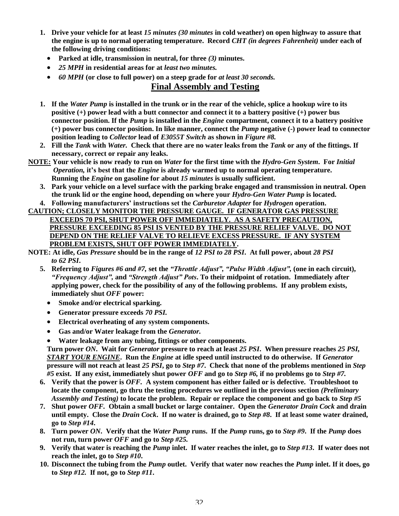- **1. Drive your vehicle for at least** *15 minutes (30 minutes* **in cold weather) on open highway to assure that the engine is up to normal operating temperature. Record** *CHT (in degrees Fahrenheit)* **under each of the following driving conditions:**
	- **Parked at idle, transmission in neutral, for three** *(3)* **minutes.**
	- *25 MPH* **in residential areas for at** *least two minutes.*
	- *60 MPH* **(or close to full power) on a steep grade for** *at least 30 seconds.*

## **Final Assembly and Testing**

- **1. If the** *Water Pump* **is installed in the trunk or in the rear of the vehicle, splice a hookup wire to its positive (+) power lead with a butt connector and connect it to a battery positive (+) power bus connector position. If the** *Pump* **is installed in the** *Engine* **compartment, connect it to a battery positive (+) power bus connector position. In like manner, connect the** *Pump* **negative (-) power lead to connector position leading to** *Collector* **lead of** *E3055T Switch* **as shown in** *Figure #8.*
- **2. Fill the** *Tank* **with** *Water.* **Check that there are no water leaks from the** *Tank* **or any of the fittings. If necessary, correct or repair any leaks.**
- **NOTE: Your vehicle is now ready to run on** *Water* **for the first time with the** *Hydro-Gen System***. For** *Initial Operation,* it's best that the *Engine* is already warmed up to normal operating temperature. **Running the** *Engine* **on gasoline for about** *15 minutes* **is usually sufficient.**
	- **3. Park your vehicle on a level surface with the parking brake engaged and transmission in neutral. Open the trunk lid or the engine hood, depending on where your** *Hydro-Gen Water Pump* **is located.**
	- **4. Followingmanufacturers'instructionssetthe***Carburetor Adapter* **for** *Hydrogen* **operation.**
- **CAUTION; CLOSELY MONITOR THE PRESSURE GAUGE. IF GENERATOR GAS PRESSURE EXCEEDS 70 PSI, SHUT POWER OFF IMMEDIATELY. AS A SAFETY PRECAUTION, PRESSURE EXCEEDING 85 PSI IS VENTED BY THE PRESSURE RELIEF VALVE. DO NOT DEPEND ON THE RELIEF VALVE TO RELIEVE EXCESS PRESSURE. IF ANY SYSTEM PROBLEM EXISTS, SHUT OFF POWER IMMEDIATELY.**
- **NOTE: At idle,** *Gas Pressure* **should be in the range of** *12 PSI to 28 PSI***. At full power, about** *28 PSI to 62 PSI***.**
	- 5. Referring to *Figures #6 and #7*, set the "*Throttle Adjust*", "Pulse Width Adjust", (one in each circuit), *"FrequencyAdjust",***and** *"StrengthAdjust"Pots***. To their midpoint of rotation. Immediately after applying power, check for the possibility of any of the following problems. If any problem exists, immediately shut** *OFF* **power:**
		- **Smoke and/or electrical sparking.**
		- **Generator pressure exceeds** *70 PSI.*
		- **Electrical overheating of any system components.**
		- **Gas and/or Water leakage from the** *Generator.*
		- **Water leakage from any tubing, fittings or other components.**

**Turn power** *ON***. Wait for** *Generator* **pressure to reach at least** *25 PSI***. When pressure reaches** *25 PSI, START YOUR ENGINE***. Run the** *Engine* **at idle speed until instructed to do otherwise. If** *Generator* **pressure will not reach at least** *25 PSI***, go to** *Step #7***. Check that none of the problems mentioned in** *Step #5* **exist. If any exist, immediately shut power** *OFF* **and go to** *Step #6,* **if no problems go to** *Step #7.*

- **6. Verify that the power is** *OFF.* **A system component has either failed or is defective. Troubleshoot to locate the component, go thru the testing procedures we outlined in the previous section** *(Preliminary Assembly and Testing)* **to locate the problem. Repair or replace the component and go back to** *Step #5*
- **7. Shut power** *OFF.* **Obtain a small bucket or large container. Open the** *Generator Drain Cock* **and drain until empty. Close the** *Drain Cock***. If no water is drained, go to** *Step #8***. If at least some water drained, go to** *Step #14***.**
- **8. Turn power** *ON***. Verify that the** *Water Pump* **runs. If the** *Pump* **runs, go to** *Step #9***. If the** *Pump* **does not run, turn power** *OFF* **and go to** *Step #25.*
- **9. Verify that water is reaching the** *Pump* **inlet. If water reaches the inlet, go to** *Step #13***. If water does not reach the inlet, go to** *Step #10***.**
- **10. Disconnect the tubing from the** *Pump* **outlet. Verify that water now reaches the** *Pump* **inlet. If it does, go to** *Step #12.* **If not, go to** *Step #11***.**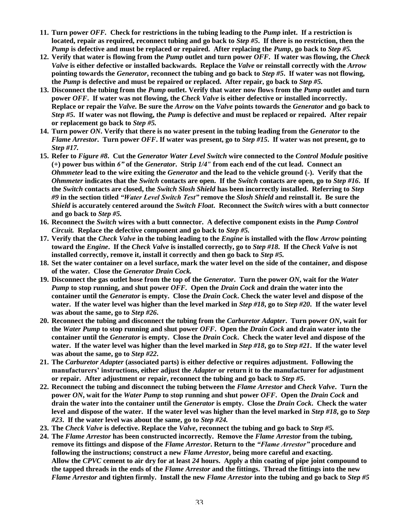- **11. Turn power** *OFF.* **Check for restrictions in the tubing leading to the** *Pump* **inlet. If a restriction is located, repair as required, reconnect tubing and go back to** *Step #5***. If there is no restriction, then the** *Pump* **is defective and must be replaced or repaired. After replacing the** *Pump***, go back to** *Step #5.*
- **12. Verify that water is flowing from the** *Pump* **outlet and turn power** *OFF***. If water was flowing, the** *Check Valve* **is either defective or installed backwards. Replace the** *Valve* **or reinstall correctly with the** *Arrow* **pointing towards the** *Generator***, reconnect the tubing and go back to** *Step #5***. If water was not flowing, the** *Pump* **is defective and must be repaired or replaced. After repair, go back to** *Step #5.*
- **13. Disconnect the tubing from the** *Pump* **outlet. Verify that water now flows from the** *Pump* **outlet and turn power** *OFF***. If water was not flowing, the** *Check Valve* **is either defective or installed incorrectly. Replace or repair the** *Valve.* **Be sure the** *Arrow* **on the** *Valve* **points towards the** *Generator* **and go back to** *Step #5***. If water was not flowing, the** *Pump* **is defective and must be replaced or repaired. After repair or replacement go back to** *Step #5.*
- **14. Turn power** *ON***. Verify that there is no water present in the tubing leading from the** *Generator* **to the** *Flame Arrestor***. Turn power** *OFF***. If water was present, go to** *Step #15***. If water was not present, go to** *Step #17.*
- **15. Refer to** *Figure #8***. Cut the** *Generator Water Level Switch* **wire connected to the** *Control Module* **positive (+) power bus within** *6"***of the** *Generator***. Strip** *1/4"* **from each end of the cut lead. Connect an** *Ohmmeter* **lead to the wire exiting the** *Generator* **and the lead to the vehicle ground (-). Verify that the** *Ohmmeter* **indicates that the** *Switch* **contacts are open. If the** *Switch* **contacts are open, go to** *Step #16***. If the** *Switch* **contacts are closed, the** *Switch Slosh Shield* **has been incorrectly installed. Referring to** *Step #9* **in the section titled** *"WaterLevelSwitchTest"***remove the** *Slosh Shield* **and reinstall it. Be sure the** *Shield* **is accurately centered around the** *Switch Float***. Reconnect the** *Switch* **wires with a butt connector and go back to** *Step #5.*
- **16. Reconnect the** *Switch* **wires with a butt connector. A defective component exists in the** *Pump Control Circuit.* **Replace the defective component and go back to** *Step #5.*
- **17. Verify that the** *Check Valve* **in the tubing leading to the** *Engine* **is installed with the flow** *Arrow* **pointing toward the** *Engine***. If the** *Check Valve* **is installed correctly, go to** *Step #18***. If the** *Check Valve* **is not installed correctly, remove it, install it correctly and then go back to** *Step #5.*
- **18. Set the water container on a level surface, mark the water level on the side of the container, and dispose of the water. Close the** *Generator Drain Cock.*
- **19. Disconnect the gas outlet hose from the top of the** *Generator***. Turn the power** *ON***, wait for the** *Water Pump* **to stop running, and shut power** *OFF.* **Open the** *Drain Cock* **and drain the water into the container until the** *Generator* **is empty. Close the** *Drain Cock***. Check the water level and dispose of the water. If the water level was higher than the level marked in** *Step #18***, go to** *Step #20***. If the water level was about the same, go to** *Step #26***.**
- **20. Reconnect the tubing and disconnect the tubing from the** *Carburetor Adapter***. Turn power** *ON***, wait for the** *Water Pump* **to stop running and shut power** *OFF***. Open the** *Drain Cock* **and drain water into the container until the** *Generator* **is empty. Close the** *Drain Cock***. Check the water level and dispose of the water. If the water level was higher than the level marked in** *Step #18***, go to** *Step #21***. If the water level was about the same, go to** *Step #22***.**
- **21. The** *Carburetor Adapter* **(associated parts) is either defective or requires adjustment. Following the manufacturers'instructions, either adjust the** *Adapter* **or return it to the manufacturer for adjustment or repair. After adjustment or repair, reconnect the tubing and go back to** *Step #5***.**
- **22. Reconnect the tubing and disconnect the tubing between the** *Flame Arrestor* **and** *Check Valve***. Turn the power** *ON***, wait for the** *Water Pump* **to stop running and shut power** *OFF***. Open the** *Drain Cock* **and drain the water into the container until the** *Generator* **is empty. Close the** *Drain Cock***. Check the water level and dispose of the water. If the water level was higher than the level marked in** *Step #18***, go to** *Step #23***. If the water level was about the same, go to** *Step #24.*
- **23. The** *Check Valve* **is defective. Replace the** *Valve***, reconnect the tubing and go back to** *Step #5.*
- **24. The** *Flame Arrestor* **has been constructed incorrectly. Remove the** *Flame Arrestor* **from the tubing, remove its fittings and dispose of the** *Flame Arrestor***. Return to the** *"FlameArrestor"***procedure and following the instructions; construct a new** *Flame Arrestor***, being more careful and exacting. Allow the** *CPVC* **cement to air dry for at least** *24* **hours. Apply a thin coating of pipe joint compound to the tapped threads in the ends of the** *Flame Arrestor* **and the fittings. Thread the fittings into the new** *Flame Arrestor* **and tighten firmly. Install the new** *Flame Arrestor* **into the tubing and go back to** *Step #5*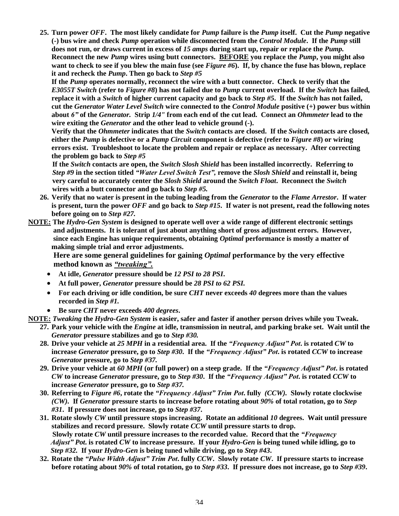**25. Turn power** *OFF***. The most likely candidate for** *Pump* **failure is the** *Pump* **itself. Cut the** *Pump* **negative (-) bus wire and check** *Pump* **operation while disconnected from the** *Control Module***. If the** *Pump* **still does not run, or draws current in excess of** *15 amps* **during start up, repair or replace the** *Pump.* **Reconnect the new** *Pump* **wires using butt connectors. BEFORE you replace the** *Pump***, you might also want to check to see if you blew the main fuse (see** *Figure #6***). If, by chance the fuse has blown, replace it and recheck the** *Pump***. Then go back to** *Step #5*

**If the** *Pump* **operates normally, reconnect the wire with a butt connector. Check to verify that the** *E3055T Switch* **(refer to** *Figure #8***) has not failed due to** *Pump* **current overload. If the** *Switch* **has failed, replace it with a** *Switch* **of higher current capacity and go back to** *Step #5***. If the** *Switch* **has not failed, cut the** *Generator Water Level Switch* **wire connected to the** *Control Module* **positive (+) power bus within about** *6"***of the** *Generator.* **Strip** *1/4"* **from each end of the cut lead. Connect an** *Ohmmeter* **lead to the wire exiting the** *Generator* **and the other lead to vehicle ground (-).**

**Verify that the** *Ohmmeter* **indicates that the** *Switch* **contacts are closed. If the** *Switch* **contacts are closed, either the** *Pump* **is defective or a** *Pump Circuit* **component is defective (refer to** *Figure #8***) or wiring errors exist. Troubleshoot to locate the problem and repair or replace as necessary. After correcting the problem go back to** *Step #5*

**If the** *Switch* **contacts are open, the** *Switch Slosh Shield* **has been installed incorrectly. Referring to** *Step #9* in the section titled *"Water Level Switch Test"*, remove the *Slosh Shield* and reinstall it, being **very careful to accurately center the** *Slosh Shield* **around the** *Switch Float***. Reconnect the** *Switch* **wires with a butt connector and go back to** *Step #5.*

- **26. Verify that no water is present in the tubing leading from the** *Generator* **to the** *Flame Arrestor***. If water is present, turn the power** *OFF* **and go back to** *Step #15***. If water is not present, read the following notes before going on to** *Step #27.*
- **NOTE: The** *Hydro-Gen System* **is designed to operate well over a wide range of different electronic settings and adjustments. It is tolerant of just about anything short of gross adjustment errors. However, since each Engine has unique requirements, obtaining** *Optimal* **performance is mostly a matter of making simple trial and error adjustments.**

**Here are some general guidelines for gaining** *Optimal* **performance by the very effective method known as** *"tweaking".*

- **At idle,** *Generator* **pressure should be** *12 PSI to 28 PSI***.**
- **At full power,** *Generator* **pressure should be** *28 PSI to 62 PSI.*
- **For each driving or idle condition, be sure** *CHT* **never exceeds** *40* **degrees more than the values recorded in** *Step #1.*
- **Be sure** *CHT* **never exceeds** *400 degrees***.**
- **NOTE:** *Tweaking* **the** *Hydro-Gen System* **is easier, safer and faster if another person drives while you Tweak.**
	- **27. Park your vehicle with the** *Engine* **at idle, transmission in neutral, and parking brake set. Wait until the** *Generator* **pressure stabilizes and go to** *Step #30.*
	- **28. Drive your vehicle at** *25 MPH* **in a residential area. If the** *"FrequencyAdjust"Pot***. is rotated** *CW* **to increase** *Generator* **pressure, go to** *Step #30***. If the** *"FrequencyAdjust"Pot***. is rotated** *CCW* **to increase** *Generator* **pressure, go to** *Step #37.*
	- **29. Drive your vehicle at** *60 MPH* **(or full power) on a steep grade. If the** *"FrequencyAdjust"Pot***. is rotated** *CW* **to increase** *Generator* **pressure, go to** *Step #30***. If the** *"FrequencyAdjust"Pot***. is rotated** *CCW* **to increase** *Generator* **pressure, go to** *Step #37.*
	- **30. Referring to** *Figure #6***, rotate the** *"FrequencyAdjust"TrimPot***. fully** *(CCW).* **Slowly rotate clockwise** *(CW).* **If** *Generator* **pressure starts to increase before rotating about** *90%* **of total rotation, go to** *Step #31***. If pressure does not increase, go to** *Step #37***.**
	- **31. Rotate slowly** *CW* **until pressure stops increasing. Rotate an additional** *10* **degrees. Wait until pressure stabilizes and record pressure. Slowly rotate** *CCW* **until pressure starts to drop. Slowly rotate** *CW* **until pressure increases to the recorded value. Record that the** *"Frequency Adjust"Pot***. is rotated** *CW* **to increase pressure. If your** *Hydro-Gen* **is being tuned while idling, go to** *Step #32.* **If your** *Hydro-Gen* **is being tuned while driving, go to** *Step #43***.**
	- **32. Rotate the** *"PulseWidthAdjust"TrimPot***. fully** *CCW***. Slowly rotate** *CW***. If pressure starts to increase before rotating about** *90%* **of total rotation, go to** *Step #33***. If pressure does not increase, go to** *Step #39***.**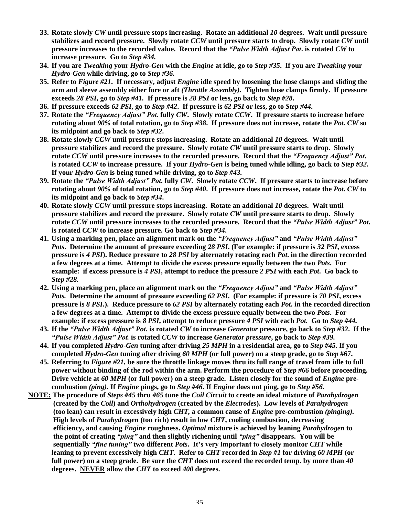- **33. Rotate slowly** *CW* **until pressure stops increasing. Rotate an additional** *10* **degrees. Wait until pressure stabilizes and record pressure. Slowly rotate** *CCW* **until pressure starts to drop. Slowly rotate** *CW* **until pressure increases to the recorded value. Record that the** *"PulseWidthAdjustPot***. is rotated** *CW* **to increase pressure. Go to** *Step #34.*
- **34. If you are** *Tweaking* **your** *Hydro-Gen* **with the** *Engine* **at idle, go to** *Step #35***. If you are** *Tweaking* **your** *Hydro-Gen* **while driving, go to** *Step #36.*
- **35. Refer to** *Figure #21***. If necessary, adjust** *Engine* **idle speed by loosening the hose clamps and sliding the arm and sleeve assembly either fore or aft** *(Throttle Assembly).* **Tighten hose clamps firmly. If pressure exceeds** *28 PSI***, go to** *Step #41.* **If pressure is** *28 PSI* **or less, go back to** *Step #28***.**
- **36. If pressure exceeds** *62 PSI***, go to** *Step #42***. If pressure is** *62 PSI* **or less, go to** *Step #44***.**
- **37. Rotate the** *"FrequencyAdjust"Pot***. fully** *CW***. Slowly rotate** *CCW***. If pressure starts to increase before rotating about** *90%* **of total rotation, go to** *Step #38***. If pressure does not increase, rotate the** *Pot. CW* **so its midpoint and go back to** *Step #32***.**
- **38. Rotate slowly** *CCW* **until pressure stops increasing. Rotate an additional** *10* **degrees. Wait until pressure stabilizes and record the pressure. Slowly rotate** *CW* **until pressure starts to drop. Slowly rotate** *CCW* **until pressure increases to the recorded pressure. Record that the** *"FrequencyAdjust"Pot***. is rotated** *CCW* **to increase pressure. If your** *Hydro-Gen* **is being tuned while idling, go back to** *Step #32.* **If your** *Hydro-Gen* **is being tuned while driving, go to** *Step #43.*
- **39. Rotate the** *"PulseWidthAdjust"Pot***. fully** *CW***. Slowly rotate** *CCW***. If pressure starts to increase before rotating about** *90%* **of total rotation, go to** *Step #40***. If pressure does not increase, rotate the** *Pot. CW* **to its midpoint and go back to** *Step #34***.**
- **40. Rotate slowly** *CCW* **until pressure stops increasing. Rotate an additional** *10* **degrees. Wait until pressure stabilizes and record the pressure. Slowly rotate** *CW* **until pressure starts to drop. Slowly** rotate *CCW* until pressure increases to the recorded pressure. Record that the "Pulse Width Adjust" Pot. **is rotated** *CCW* **to increase pressure. Go back to** *Step #34***.**
- **41. Using a marking pen, place an alignment mark on the** *"FrequencyAdjust"***and** *"PulseWidthAdjust" Pots***. Determine the amount of pressure exceeding** *28 PSI***. (For example: if pressure is** *32 PSI***, excess pressure is** *4 PSI***). Reduce pressure to** *28 PSI* **by alternately rotating each** *Pot***. in the direction recorded a few degrees at a time. Attempt to divide the excess pressure equally between the two** *Pots***. For example: if excess pressure is** *4 PSI***, attempt to reduce the pressure** *2 PSI* **with each** *Pot***. Go back to** *Step #28.*
- **42. Using a marking pen, place an alignment mark on the** *"FrequencyAdjust"***and** *"PulseWidthAdjust" Pots.* **Determine the amount of pressure exceeding** *62 PSI***. (For example: if pressure is** *70 PSI***, excess pressure is** *8 PSI***.). Reduce pressure to** *62 PSI* **by alternately rotating each** *Pot***. in the recorded direction a few degrees at a time. Attempt to divide the excess pressure equally between the two** *Pots***. For example: if excess pressure is** *8 PSI***, attempt to reduce pressure** *4 PSI* **with each** *Pot.* **Go to** *Step #44.*
- **43. If the** *"PulseWidthAdjust"Pot***. is rotated** *CW* **to increase** *Generator* **pressure, go back to** *Step #32***. If the** *"PulseWidthAdjust"Pot.***is rotated** *CCW* **to increase** *Generator pressure***, go back to** *Step #39.*
- **44. If you completed** *Hydro-Gen* **tuning after driving** *25 MPH* **in a residential area, go to** *Step #45.* **If you completed** *Hydro-Gen* **tuning after driving** *60 MPH* **(or full power) on a steep grade, go to** *Step* **#67.**
- **45. Referring to** *Figure #21***, be sure the throttle linkage moves thru its full range of travel from idle to full power without binding of the rod within the arm. Perform the procedure of** *Step #66* **before proceeding. Drive vehicle at** *60 MPH* **(or full power) on a steep grade. Listen closely for the sound of** *Engine* **precombustion** *(ping).* **If** *Engine* **pings, go to** *Step #46***. If** *Engine* **does not ping, go to** *Step #56.*
- **NOTE: The procedure of** *Steps #45* **thru** *#65* **tune the** *Coil Circuit* **to create an ideal mixture of** *Parahydrogen* **(created by the** *Coil***) and** *Orthohydrogen* **(created by the** *Electrodes***). Low levels of** *Parahydrogen* **(too lean) can result in excessively high** *CHT,* **a common cause of** *Engine* **pre-combustion** *(pinging).* **High levels of** *Parahydrogen* **(too rich) result in low** *CHT***, cooling combustion, decreasing efficiency, and causing** *Engine* **roughness.** *Optimal* **mixture is achieved by leaning** *Parahydrogen* **to the point of creating** *"ping"***and then slightly richening until** *"ping"***disappears. You will be sequentially** "fine tuning" two different Pots. It's very important to closely monitor CHT while **leaning to prevent excessively high** *CHT***. Refer to** *CHT* **recorded in** *Step #1* **for driving** *60 MPH* **(or full power) on a steep grade. Be sure the** *CHT* **does not exceed the recorded temp. by more than** *40* **degrees. NEVER allow the** *CHT* **to exceed** *400* **degrees.**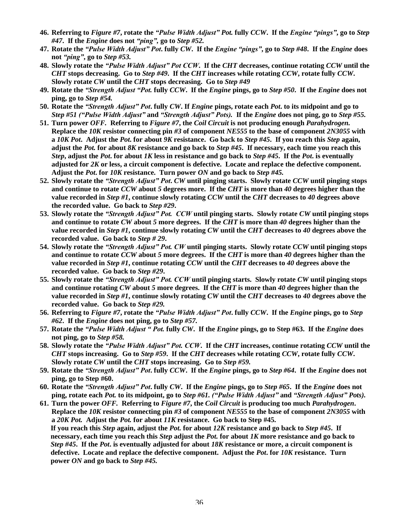- **46. Referring to** *Figure #7***, rotate the** *"PulseWidthAdjust"Pot.* **fully** *CCW***. If the** *Engine"pings"***, go to** *Step #47***. If the** *Engine* **does not** *"ping",***go to** *Step #52.*
- **47. Rotate the** *"PulseWidthAdjust"Pot***. fully** *CW***. If the** *Engine"pings"***, go to** *Step #48***. If the** *Engine* **does not** *"ping"***, go to** *Step #53.*
- **48. Slowly rotate the** *"PulseWidthAdjust"PotCCW***. If the** *CHT* **decreases, continue rotating** *CCW* **until the** *CHT* **stops decreasing. Go to** *Step #49***. If the** *CHT* **increases while rotating** *CCW***, rotate fully** *CCW***. Slowly rotate** *CW* **until the** *CHT* **stops decreasing. Go to** *Step #49*
- **49. Rotate the** *"StrengthAdjust"Pot.***fully** *CCW***. If the** *Engine* **pings, go to** *Step #50***. If the** *Engine* **does not ping, go to** *Step #54.*
- **50. Rotate the** *"StrengthAdjust"Pot***. fully** *CW***. If** *Engine* **pings, rotate each** *Pot***. to its midpoint and go to** *Step #51 ("PulseWidthAdjust"***and** *"StrengthAdjust"Pots).***If the** *Engine* **does not ping, go to** *Step #55.*
- **51. Turn power** *OFF.* **Referring to** *Figure #7***, the** *Coil Circuit* **is not producing enough** *Parahydrogen.* **Replace the** *10K* **resistor connecting pin** *#3* **of component** *NE555* **to the base of component** *2N3055* **with a** *10K Pot***. Adjust the** *Pot***. for about** *9K* **resistance. Go back to** *Step #45***. If you reach this** *Step* **again, adjust the** *Pot.* **for about** *8K* **resistance and go back to** *Step #45***. If necessary, each time you reach this** *Step***, adjust the** *Pot***. for about** *1K* **less in resistance and go back to** *Step #45***. If the** *Pot***. is eventually adjusted for** *2K* **or less, a circuit component is defective. Locate and replace the defective component. Adjust the** *Pot***. for** *10K* **resistance. Turn power** *ON* **and go back to** *Step #45.*
- **52. Slowly rotate the** *"StrengthAdjust"Pot***.** *CW* **until pinging starts. Slowly rotate** *CCW* **until pinging stops and continue to rotate** *CCW* **about** *5* **degrees more. If the** *CHT* **is more than** *40* **degrees higher than the value recorded in** *Step #1***, continue slowly rotating** *CCW* **until the** *CHT* **decreases to** *40* **degrees above the recorded value. Go back to** *Step #29***.**
- **53.** Slowly rotate the "Strength Adjust" Pot. CCW until pinging starts. Slowly rotate CW until pinging stops **and continue to rotate** *CW* **about** *5* **more degrees. If the** *CHT* **is more than** *40* **degrees higher than the value recorded in** *Step #1***, continue slowly rotating** *CW* **until the** *CHT* **decreases to** *40* **degrees above the recorded value. Go back to** *Step # 29***.**
- **54. Slowly rotate the** *"StrengthAdjust"Pot.CW***until pinging starts. Slowly rotate** *CCW* **until pinging stops and continue to rotate** *CCW* **about** *5* **more degrees. If the** *CHT* **is more than** *40* **degrees higher than the value recorded in** *Step #1***, continue rotating** *CCW* **until the** *CHT* **decreases to** *40* **degrees above the recorded value. Go back to** *Step #29***.**
- 55. Slowly rotate the "Strength Adjust" Pot. CCW until pinging starts. Slowly rotate CW until pinging stops **and continue rotating** *CW* **about** *5* **more degrees. If the** *CHT* **is more than** *40* **degrees higher than the value recorded in** *Step #1***, continue slowly rotating** *CW* **until the** *CHT* **decreases to** *40* **degrees above the recorded value. Go back to** *Step #29.*
- **56. Referring to** *Figure #7***, rotate the** *"PulseWidthAdjust"Pot***. fully** *CCW***. If the** *Engine* **pings, go to** *Step #62***. If the** *Engine* **does not ping, go to** *Step #57.*
- **57. Rotate the** *"PulseWidthAdjust"Pot.***fully** *CW***. If the** *Engine* **pings, go to Step #63. If the** *Engine* **does not ping, go to** *Step #58.*
- **58. Slowly rotate the** *"PulseWidthAdjust"Pot.CCW***. If the** *CHT* **increases, continue rotating** *CCW* **until the** *CHT* **stops increasing. Go to** *Step #59***. If the** *CHT* **decreases while rotating** *CCW***, rotate fully** *CCW***. Slowly rotate** *CW* **until the** *CHT* **stops increasing. Go to** *Step #59.*
- **59. Rotate the** *"StrengthAdjust"Pot***. fully** *CCW***. If the** *Engine* **pings, go to** *Step #64***. If the** *Engine* **does not ping, go to Step #60.**
- **60. Rotate the** *"StrengthAdjust"Pot***. fully** *CW***. If the** *Engine* **pings, go to** *Step #65***. If the** *Engine* **does not ping, rotate each** *Pot.* **to its midpoint, go to** *Step #61. ("PulseWidthAdjust"***and** *"StrengthAdjust"Pots).*
- **61. Turn the power** *OFF.* **Referring to** *Figure #7***, the** *Coil Circuit* **is producing too much** *Parahydrogen***. Replace the** *10K* **resistor connecting pin** *#3* **of component** *NE555* **to the base of component** *2N3055* **with a** *20K Pot.* **Adjust the** *Pot.* **for about** *11K* **resistance. Go back to Step #45. If you reach this** *Step* **again, adjust the** *Pot.* **for about** *12K* **resistance and go back to** *Step #45***. If necessary, each time you reach this** *Step* **adjust the** *Pot.* **for about** *1K* **more resistance and go back to** *Step #45***. If the** *Pot***. is eventually adjusted for about** *18K* **resistance or more, a circuit component is defective. Locate and replace the defective component. Adjust the** *Pot***. for** *10K* **resistance. Turn power** *ON* **and go back to** *Step #45.*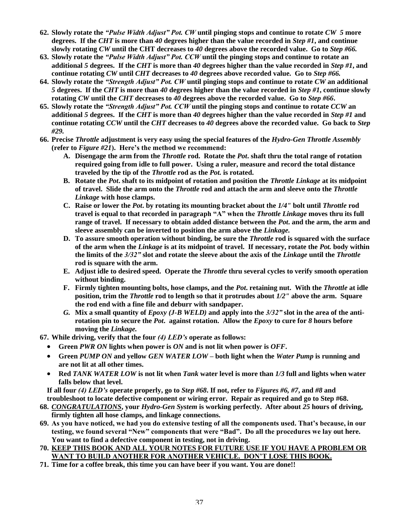- **62. Slowly rotate the** *"PulseWidthAdjust"Pot.CW***until pinging stops and continue to rotate** *CW 5* **more degrees. If the** *CHT* **is more than** *40* **degrees higher than the value recorded in** *Step #1***, and continue slowly rotating** *CW* **until the CHT decreases to** *40* **degrees above the recorded value. Go to** *Step #66.*
- **63. Slowly rotate the** *"PulseWidthAdjust"Pot.CCW***until the pinging stops and continue to rotate an additional** *5* **degrees. If the** *CHT* **is more than** *40* **degrees higher than the value recorded in** *Step #1***, and continue rotating** *CW* **until** *CHT* **decreases to** *40* **degrees above recorded value. Go to** *Step #66.*
- **64. Slowly rotate the** *"StrengthAdjust"Pot.CW***until pinging stops and continue to rotate** *CW* **an additional** *5* **degrees. If the** *CHT* **is more than** *40* **degrees higher than the value recorded in** *Step #1***, continue slowly rotating** *CW* **until the** *CHT* **decreases to** *40* **degrees above the recorded value. Go to** *Step #66***.**
- **65. Slowly rotate the** *"StrengthAdjust"Pot.CCW***until the pinging stops and continue to rotate** *CCW* **an additional** *5* **degrees. If the** *CHT* **is more than** *40* **degrees higher than the value recorded in** *Step #1* **and continue rotating** *CCW* **until the** *CHT* **decreases to** *40* **degrees above the recorded value. Go back to** *Step #29.*
- **66. Precise** *Throttle* **adjustment is very easy using the special features of the** *Hydro-Gen Throttle Assembly* (refer to *Figure #21*). Here's the method we recommend:
	- **A. Disengage the arm from the** *Throttle* **rod. Rotate the** *Pot***. shaft thru the total range of rotation required going from idle to full power. Using a ruler, measure and record the total distance traveled by the tip of the** *Throttle* **rod as the** *Pot.* **is rotated.**
	- **B. Rotate the** *Pot***. shaft to its midpoint of rotation and position the** *Throttle Linkage* **at its midpoint of travel. Slide the arm onto the** *Throttle* **rod and attach the arm and sleeve onto the** *Throttle Linkage* **with hose clamps.**
	- **C. Raise or lower the** *Pot***. by rotating its mounting bracket about the** *1/4"* **bolt until** *Throttle* **rod travel is equal to that recorded in paragraph"A"whenthe***Throttle Linkage* **moves thru its full range of travel. If necessary to obtain added distance between the** *Pot***. and the arm, the arm and sleeve assembly can be inverted to position the arm above the** *Linkage.*
	- **D. To assure smooth operation without binding, be sure the** *Throttle* **rod is squared with the surface of the arm when the** *Linkage* **is at its midpoint of travel. If necessary, rotate the** *Pot.* **body within the limits of the** *3/32"***slot and rotate the sleeve about the axis of the** *Linkage* **until the** *Throttle* **rod is square with the arm.**
	- **E. Adjust idle to desired speed. Operate the** *Throttle* **thru several cycles to verify smooth operation without binding.**
	- **F. Firmly tighten mounting bolts, hose clamps, and the** *Pot***. retaining nut. With the** *Throttle* **at idle position, trim the** *Throttle* **rod to length so that it protrudes about** *1/2"* **above the arm. Square the rod end with a fine file and deburr with sandpaper.**
	- *G.* **Mix a small quantity of** *Epoxy (J-B WELD)* **and apply into the** *3/32"***slot in the area of the antirotation pin to secure the** *Pot***. against rotation. Allow the** *Epoxy* **to cure for** *8* **hours before moving the** *Linkage.*
- **67. While driving, verify that the four** *(4)LED's***operate as follows:**
	- **Green** *PWR ON* **lights when power is** *ON* **and is not lit when power is** *OFF***.**
	- **Green** *PUMP ON* **and yellow** *GEN WATER LOW* **–both light when the** *Water Pump* **is running and are not lit at all other times.**
	- **Red** *TANK WATER LOW* **is not lit when** *Tank* **water level is more than** *1/3* **full and lights when water falls below that level.**

**If all four** *(4)LED's***operate properly, go to** *Step #68***. If not, refer to** *Figures #6, #7***, and** *#8* **and troubleshoot to locate defective component or wiring error. Repair as required and go to Step #68.**

- **68.** *CONGRATULATIONS***, your** *Hydro-Gen System* **is working perfectly. After about** *25* **hours of driving, firmly tighten all hose clamps, and linkage connections.**
- **69. Asyouhavenoticed,wehadyoudoextensivetestingofallthecomponentsused.That'sbecause,inour** testing, we found several "New" components that were "Bad". Do all the procedures we lay out here. **You want to find a defective component in testing, not in driving.**
- **70. KEEP THIS BOOK AND ALL YOUR NOTES FOR FUTURE USE IF YOU HAVE A PROBLEM OR** WANT TO BUILD ANOTHER FOR ANOTHER VEHICLE. DON'T LOSE THIS BOOK.
- **71. Time for a coffee break, this time you can have beer if you want. You are done!!**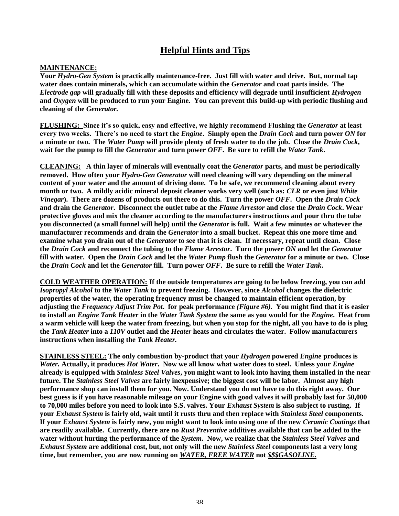## **Helpful Hints and Tips**

#### **MAINTENANCE:**

**Your** *Hydro-Gen System* **is practically maintenance-free. Just fill with water and drive. But, normal tap water does contain minerals, which can accumulate within the** *Generator* **and coat parts inside. The** *Electrode gap* **will gradually fill with these deposits and efficiency will degrade until insufficient** *Hydrogen* **and** *Oxygen* **will be produced to run your Engine. You can prevent this build-up with periodic flushing and cleaning of the** *Generator.*

**FLUSHING: Sinceit'ssoquick,easyandeffective,wehighlyrecommendFlushingthe***Generator* **at least everytwoweeks.There'snoneedtostartthe***Engine***. Simply open the** *Drain Cock* **and turn power** *ON* **for a minute or two. The** *Water Pump* **will provide plenty of fresh water to do the job. Close the** *Drain Cock***, wait for the pump to fill the** *Generator* **and turn power** *OFF***. Be sure to refill the** *Water Tank***.**

**CLEANING: A thin layer of minerals will eventually coat the** *Generator* **parts, and must be periodically removed. How often your** *Hydro-Gen Generator* **will need cleaning will vary depending on the mineral content of your water and the amount of driving done. To be safe, we recommend cleaning about every month or two. A mildly acidic mineral deposit cleaner works very well (such as:** *CLR* **or even just** *White Vinegar***). There are dozens of products out there to do this. Turn the power** *OFF***. Open the** *Drain Cock* **and drain the** *Generator***. Disconnect the outlet tube at the** *Flame Arrestor* **and close the** *Drain Cock***. Wear protective gloves and mix the cleaner according to the manufacturers instructions and pour thru the tube you disconnected (a small funnel will help) until the** *Generator* **is full. Wait a few minutes or whatever the manufacturer recommends and drain the** *Generator* **into a small bucket. Repeat this one more time and examine what you drain out of the** *Generator* **to see that it is clean. If necessary, repeat until clean. Close the** *Drain Cock* **and reconnect the tubing to the** *Flame Arrestor***. Turn the power** *ON* **and let the** *Generator* **fill with water. Open the** *Drain Cock* **and let the** *Water Pump* **flush the** *Generator* **for a minute or two. Close the** *Drain Cock* **and let the** *Generator* **fill. Turn power** *OFF***. Be sure to refill the** *Water Tank***.**

**COLD WEATHER OPERATION: If the outside temperatures are going to be below freezing, you can add** *Isopropyl Alcohol* **to the** *Water Tank* **to prevent freezing. However, since** *Alcohol* **changes the dielectric properties of the water, the operating frequency must be changed to maintain efficient operation, by adjusting the** *Frequency Adjust Trim Pot***. for peak performance** *(Figure #6).* **You might find that it is easier to install an** *Engine Tank Heater* **in the** *Water Tank System* **the same as you would for the** *Engine***. Heat from a warm vehicle will keep the water from freezing, but when you stop for the night, all you have to do is plug the** *Tank Heater* **into a** *110V* **outlet and the** *Heater* **heats and circulates the water. Follow manufacturers instructions when installing the** *Tank Heater.*

**STAINLESS STEEL: The only combustion by-product that your** *Hydrogen* **powered** *Engine* **produces is** *Water.* **Actually, it produces** *Hot Water***. Now we all know what water does to steel. Unless your** *Engine* **already is equipped with** *Stainless Steel Valves***, you might want to look into having them installed in the near future. The** *Stainless Steel Valves* **are fairly inexpensive; the biggest cost will be labor. Almost any high performance shop can install them for you. Now. Understand you do not have to do this right away. Our best guess is if you have reasonable mileage on your Engine with good valves it will probably last for 50,000 to 70,000 miles before you need to look into S.S. valves. Your** *Exhaust System* **is also subject to rusting. If your** *Exhaust System* **is fairly old, wait until it rusts thru and then replace with** *Stainless Steel* **components. If your** *Exhaust System* **is fairly new, you might want to look into using one of the new** *Ceramic Coatings* **that are readily available. Currently, there are no** *Rust Preventive* **additives available that can be added to the water without hurting the performance of the** *System***. Now, we realize that the** *Stainless Steel Valves* **and** *Exhaust System* **are additional cost, but, not only will the new** *Stainless Steel* **components last a very long time, but remember, you are now running on** *WATER, FREE WATER* **not** *\$\$\$GASOLINE.*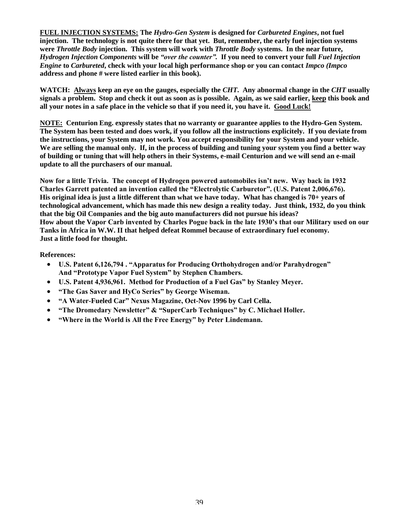**FUEL INJECTION SYSTEMS: The** *Hydro-Gen System* **is designed for** *Carbureted Engines***, not fuel injection. The technology is not quite there for that yet. But, remember, the early fuel injection systems were** *Throttle Body* **injection. This system will work with** *Throttle Body* **systems. In the near future,** *Hydrogen Injection Components* **will be** *"overthecounter".***If you need to convert your full** *Fuel Injection Engine* **to** *Carbureted***, check with your local high performance shop or you can contact** *Impco (Impco* **address and phone # were listed earlier in this book).**

**WATCH: Always keep an eye on the gauges, especially the** *CHT***. Any abnormal change in the** *CHT* **usually signals a problem. Stop and check it out as soon as is possible. Again, as we said earlier, keep this book and all your notes in a safe place in the vehicle so that if you need it, you have it. Good Luck!**

**NOTE: Centurion Eng. expressly states that no warranty or guarantee applies to the Hydro-Gen System. The System has been tested and does work, if you follow all the instructions explicitely. If you deviate from the instructions, your System may not work. You accept responsibility for your System and your vehicle. We are selling the manual only. If, in the process of building and tuning your system you find a better way of building or tuning that will help others in their Systems, e-mail Centurion and we will send an e-mail update to all the purchasers of our manual.**

Now for a little Trivia. The concept of Hydrogen powered automobiles isn't new. Way back in 1932 Charles Garrett patented an invention called the "Electrolytic Carburetor". (U.S. Patent 2,006,676). **His original idea is just a little different than what we have today. What has changed is 70+ years of technological advancement, which has made this new design a reality today. Just think, 1932, do you think that the big Oil Companies and the big auto manufacturers did not pursue his ideas? How about the VaporCarbinventedbyCharlesPoguebackinthelate1930'sthatourMilitaryusedonour Tanks in Africa in W.W. II that helped defeat Rommel because of extraordinary fuel economy. Just a little food for thought.**

#### **References:**

- **U.S. Patent 6,126,794. "Apparatus for Producing Orthohydrogen and/or Parahydrogen"** And "Prototype Vapor Fuel System" by Stephen Chambers.
- **•** U.S. Patent 4,936,961. Method for Production of a Fuel Gas" by Stanley Meyer.
- **"TheGasSaverandHyCoSeries"byGeorgeWiseman.**
- **"AWater-Fueled Car"NexusMagazine,Oct-Nov 1996 by Carl Cella.**
- **•** "The Dromedary Newsletter" & "SuperCarb Techniques" by C. Michael Holler.
- "Where in the World is All the Free Energy" by Peter Lindemann.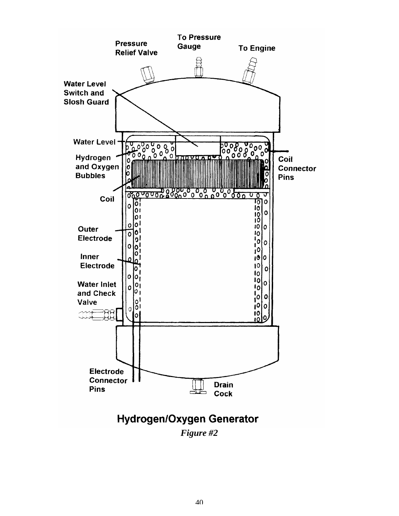

*Figure #2*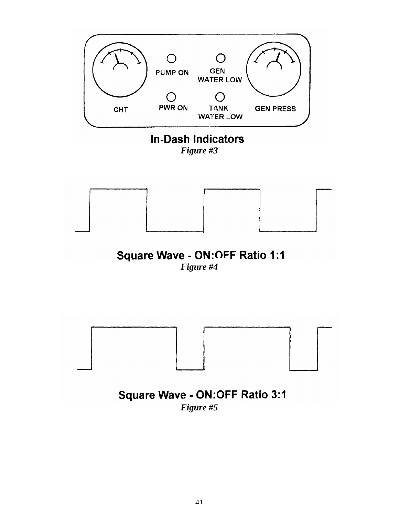

*Figure #3*



## Square Wave - ON: OFF Ratio 1:1 *Figure #4*



## Square Wave - ON:OFF Ratio 3:1 *Figure #5*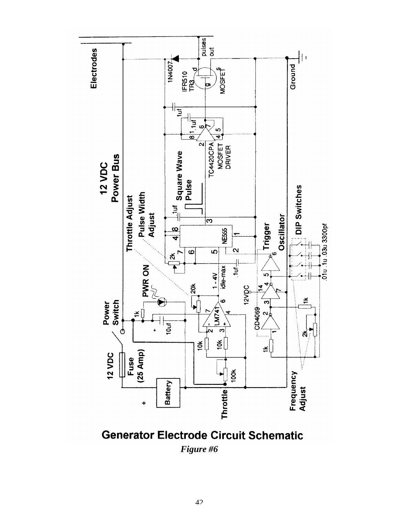

**Generator Electrode Circuit Schematic** *Figure #6*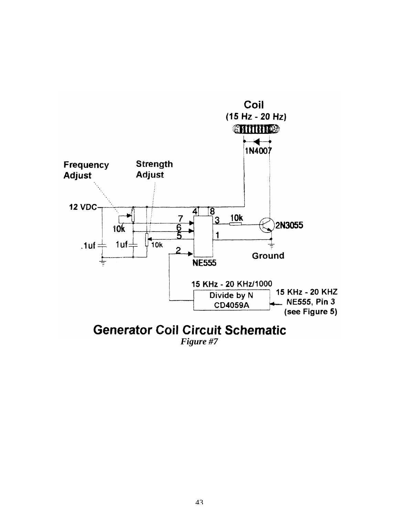

## **Generator Coil Circuit Schematic**

*Figure #7*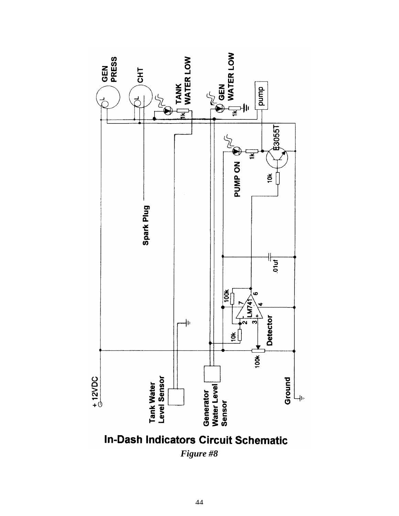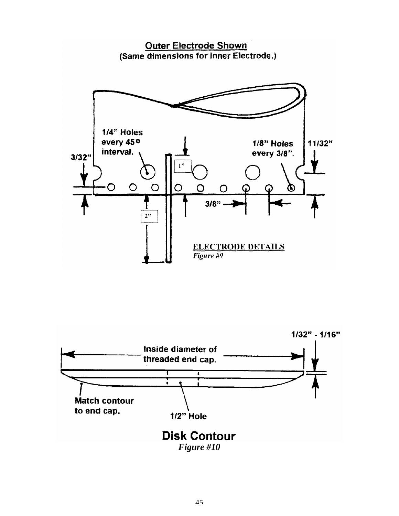

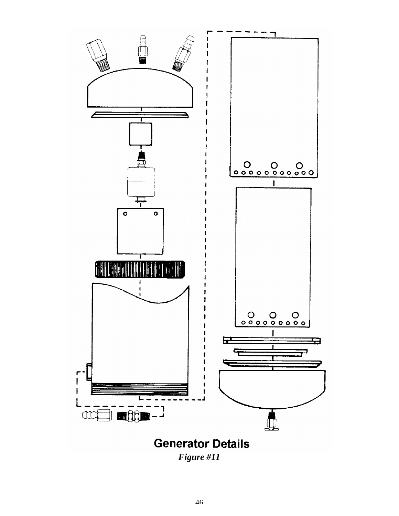

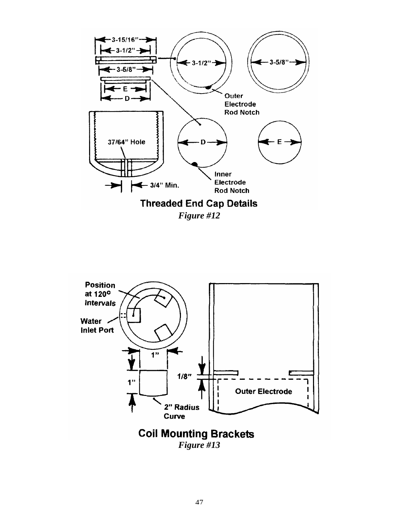

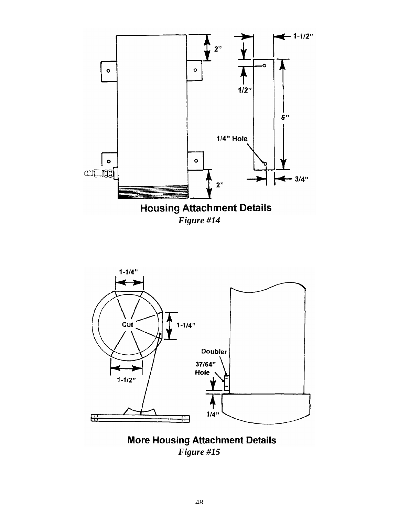



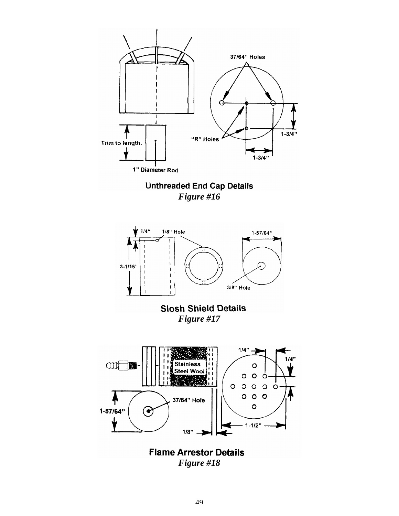

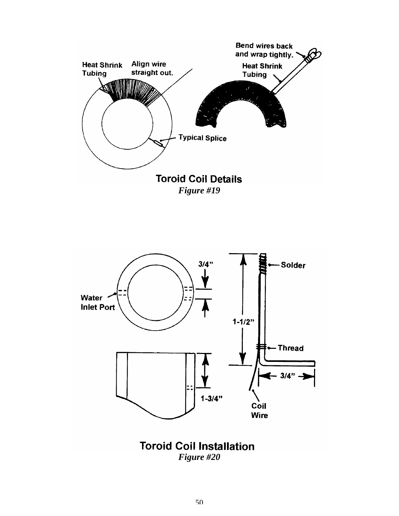